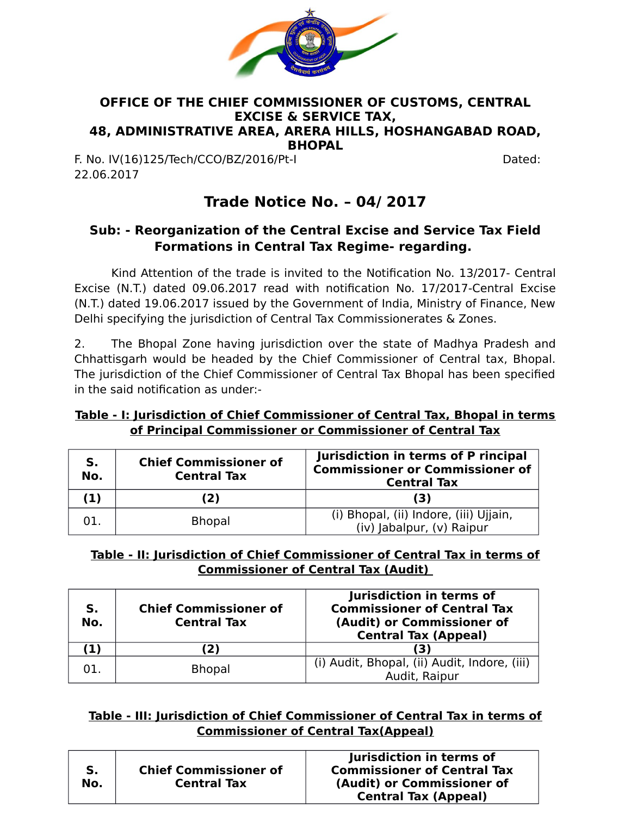

#### **OFFICE OF THE CHIEF COMMISSIONER OF CUSTOMS, CENTRAL EXCISE & SERVICE TAX, 48, ADMINISTRATIVE AREA, ARERA HILLS, HOSHANGABAD ROAD, BHOPAL**

F. No. IV(16)125/Tech/CCO/BZ/2016/Pt-I Dated: 22.06.2017

# **Trade Notice No. – 04/ 2017**

# **Sub: - Reorganization of the Central Excise and Service Tax Field Formations in Central Tax Regime- regarding.**

Kind Attention of the trade is invited to the Notification No. 13/2017- Central Excise (N.T.) dated 09.06.2017 read with notification No. 17/2017-Central Excise (N.T.) dated 19.06.2017 issued by the Government of India, Ministry of Finance, New Delhi specifying the jurisdiction of Central Tax Commissionerates & Zones.

2. The Bhopal Zone having jurisdiction over the state of Madhya Pradesh and Chhattisgarh would be headed by the Chief Commissioner of Central tax, Bhopal. The jurisdiction of the Chief Commissioner of Central Tax Bhopal has been specified in the said notification as under:-

# **Table - I: Jurisdiction of Chief Commissioner of Central Tax, Bhopal in terms of Principal Commissioner or Commissioner of Central Tax**

| S.<br>No. | <b>Chief Commissioner of</b><br><b>Central Tax</b> | Jurisdiction in terms of P rincipal<br><b>Commissioner or Commissioner of</b><br><b>Central Tax</b> |  |  |
|-----------|----------------------------------------------------|-----------------------------------------------------------------------------------------------------|--|--|
| (1)       | (2)                                                | (3)                                                                                                 |  |  |
| 01.       | <b>Bhopal</b>                                      | (i) Bhopal, (ii) Indore, (iii) Ujjain,<br>(iv) Jabalpur, (v) Raipur                                 |  |  |

# **Table - II: Jurisdiction of Chief Commissioner of Central Tax in terms of Commissioner of Central Tax (Audit)**

| S.<br>No. | <b>Chief Commissioner of</b><br><b>Central Tax</b> | Jurisdiction in terms of<br><b>Commissioner of Central Tax</b><br>(Audit) or Commissioner of<br><b>Central Tax (Appeal)</b> |
|-----------|----------------------------------------------------|-----------------------------------------------------------------------------------------------------------------------------|
| $\bf{1)}$ | 2)                                                 | (3)                                                                                                                         |
|           | <b>Bhopal</b>                                      | (i) Audit, Bhopal, (ii) Audit, Indore, (iii)<br>Audit, Raipur                                                               |

# **Table - III: Jurisdiction of Chief Commissioner of Central Tax in terms of Commissioner of Central Tax(Appeal)**

| S.<br>No. | <b>Chief Commissioner of</b><br><b>Central Tax</b> | Jurisdiction in terms of<br><b>Commissioner of Central Tax</b><br>(Audit) or Commissioner of |
|-----------|----------------------------------------------------|----------------------------------------------------------------------------------------------|
|           |                                                    | <b>Central Tax (Appeal)</b>                                                                  |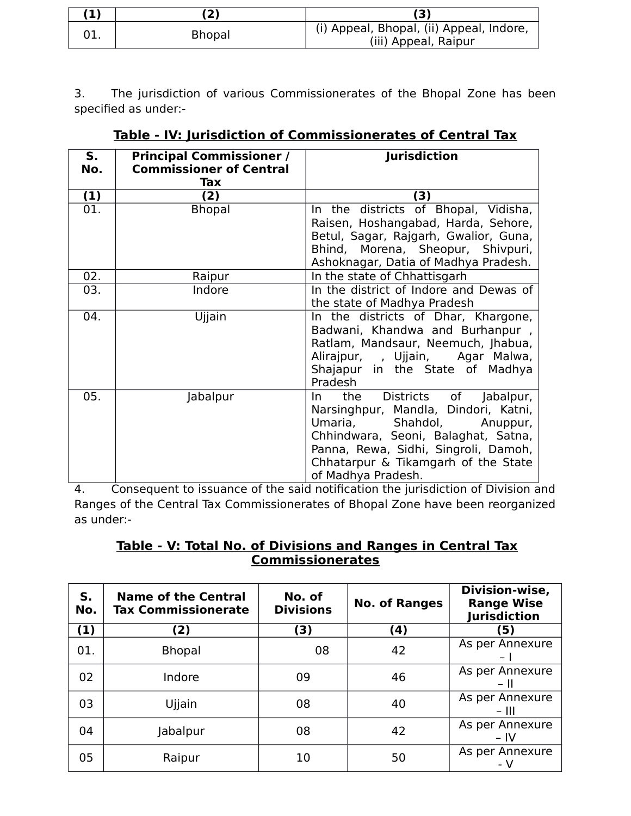| (1) | $\mathbf{2}$  | (3)                                                              |
|-----|---------------|------------------------------------------------------------------|
|     | <b>Bhopal</b> | (i) Appeal, Bhopal, (ii) Appeal, Indore,<br>(iii) Appeal, Raipur |

3. The jurisdiction of various Commissionerates of the Bhopal Zone has been specified as under:-

| S.<br>No. | <b>Principal Commissioner /</b><br><b>Commissioner of Central</b> | <b>Jurisdiction</b>                                                                                                                                                                                                                                        |
|-----------|-------------------------------------------------------------------|------------------------------------------------------------------------------------------------------------------------------------------------------------------------------------------------------------------------------------------------------------|
|           | Tax                                                               |                                                                                                                                                                                                                                                            |
| (1)       | (2)                                                               | (3)                                                                                                                                                                                                                                                        |
| 01.       | <b>Bhopal</b>                                                     | In the districts of Bhopal, Vidisha,<br>Raisen, Hoshangabad, Harda, Sehore,<br>Betul, Sagar, Rajgarh, Gwalior, Guna,<br>Bhind, Morena, Sheopur, Shivpuri,<br>Ashoknagar, Datia of Madhya Pradesh.                                                          |
| 02.       | Raipur                                                            | In the state of Chhattisgarh                                                                                                                                                                                                                               |
| 03.       | Indore                                                            | In the district of Indore and Dewas of<br>the state of Madhya Pradesh                                                                                                                                                                                      |
| 04.       | Ujjain                                                            | In the districts of Dhar, Khargone,<br>Badwani, Khandwa and Burhanpur,<br>Ratlam, Mandsaur, Neemuch, Jhabua,<br>Alirajpur, , Ujjain, Agar Malwa,<br>Shajapur in the State of Madhya<br>Pradesh                                                             |
| 05.       | Jabalpur                                                          | Districts of Jabalpur,<br>the<br>In In<br>Narsinghpur, Mandla, Dindori, Katni,<br>Umaria, Shahdol,<br>Anuppur,<br>Chhindwara, Seoni, Balaghat, Satna,<br>Panna, Rewa, Sidhi, Singroli, Damoh,<br>Chhatarpur & Tikamgarh of the State<br>of Madhya Pradesh. |

**Table - IV: Jurisdiction of Commissionerates of Central Tax**

4. Consequent to issuance of the said notification the jurisdiction of Division and Ranges of the Central Tax Commissionerates of Bhopal Zone have been reorganized as under:-

# **Table - V: Total No. of Divisions and Ranges in Central Tax Commissionerates**

| S.<br>No. | <b>Name of the Central</b><br><b>Tax Commissionerate</b> | No. of<br><b>Divisions</b> | <b>No. of Ranges</b> | Division-wise,<br><b>Range Wise</b><br><b>Jurisdiction</b> |
|-----------|----------------------------------------------------------|----------------------------|----------------------|------------------------------------------------------------|
| (1)       | (2)                                                      | 3)                         | (4)                  | (5)                                                        |
| 01.       | <b>Bhopal</b>                                            | 08                         | 42                   | As per Annexure                                            |
| 02        | Indore                                                   | 09                         | 46                   | As per Annexure<br>- 11                                    |
| 03        | Ujjain                                                   | 08                         | 40                   | As per Annexure<br>$-$ III                                 |
| 04        | Jabalpur                                                 | 08                         | 42                   | As per Annexure<br>$-IV$                                   |
| 05        | Raipur                                                   | 10                         | 50                   | As per Annexure<br>- V                                     |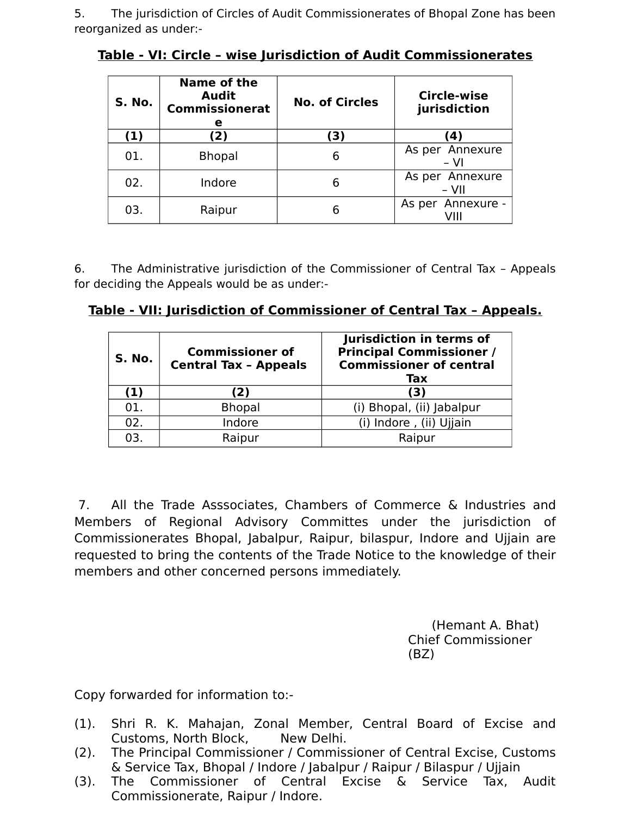5. The jurisdiction of Circles of Audit Commissionerates of Bhopal Zone has been reorganized as under:-

| S. No. | Name of the<br><b>Audit</b><br><b>Commissionerat</b><br>е | <b>No. of Circles</b> | Circle-wise<br>jurisdiction |
|--------|-----------------------------------------------------------|-----------------------|-----------------------------|
| (1)    | (2)                                                       | (3)                   | (4)                         |
| 01.    | <b>Bhopal</b>                                             | 6                     | As per Annexure<br>$- VI$   |
| 02.    | Indore                                                    | 6                     | As per Annexure<br>– VII    |
| 03.    | Raipur                                                    | 6                     | As per Annexure -           |

**Table - VI: Circle – wise Jurisdiction of Audit Commissionerates**

6. The Administrative jurisdiction of the Commissioner of Central Tax – Appeals for deciding the Appeals would be as under:-

| Table - VII: Jurisdiction of Commissioner of Central Tax - Appeals. |  |
|---------------------------------------------------------------------|--|
|                                                                     |  |

| S. No. | <b>Commissioner of</b><br><b>Central Tax - Appeals</b> | Jurisdiction in terms of<br><b>Principal Commissioner /</b><br><b>Commissioner of central</b><br>Tax |  |  |
|--------|--------------------------------------------------------|------------------------------------------------------------------------------------------------------|--|--|
| (1)    | (2)                                                    | (3)                                                                                                  |  |  |
| 01.    | <b>Bhopal</b>                                          | (i) Bhopal, (ii) Jabalpur                                                                            |  |  |
| 02.    | Indore                                                 | (i) Indore, (ii) Ujjain                                                                              |  |  |
| 03.    | Raipur                                                 | Raipur                                                                                               |  |  |

 7. All the Trade Asssociates, Chambers of Commerce & Industries and Members of Regional Advisory Committes under the jurisdiction of Commissionerates Bhopal, Jabalpur, Raipur, bilaspur, Indore and Ujjain are requested to bring the contents of the Trade Notice to the knowledge of their members and other concerned persons immediately.

> (Hemant A. Bhat) Chief Commissioner (BZ)

Copy forwarded for information to:-

- (1). Shri R. K. Mahajan, Zonal Member, Central Board of Excise and Customs, North Block, New Delhi.
- (2). The Principal Commissioner / Commissioner of Central Excise, Customs & Service Tax, Bhopal / Indore / Jabalpur / Raipur / Bilaspur / Ujjain
- (3). The Commissioner of Central Excise & Service Tax, Audit Commissionerate, Raipur / Indore.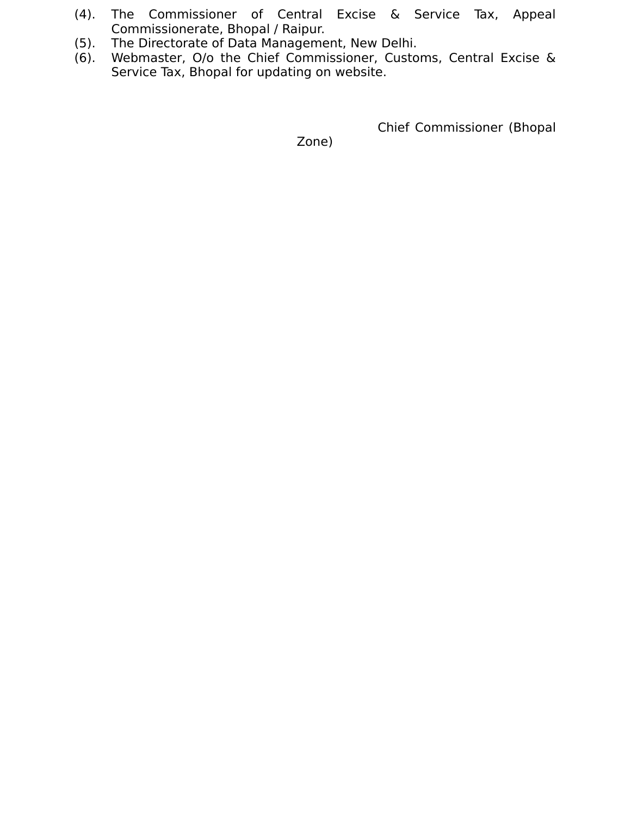- (4). The Commissioner of Central Excise & Service Tax, Appeal Commissionerate, Bhopal / Raipur.
- (5). The Directorate of Data Management, New Delhi.
- Webmaster, O/o the Chief Commissioner, Customs, Central Excise & Service Tax, Bhopal for updating on website.

Chief Commissioner (Bhopal

Zone)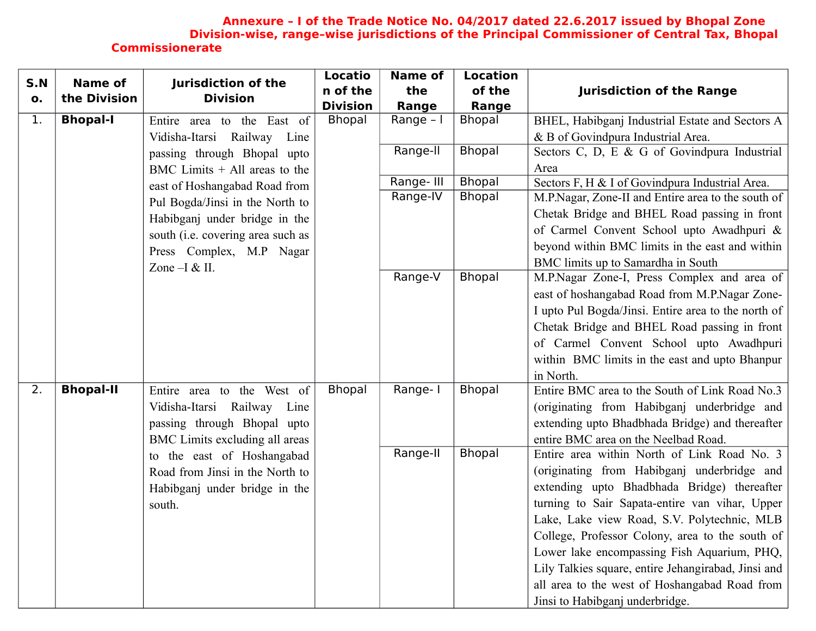#### **Annexure – I of the Trade Notice No. 04/2017 dated 22.6.2017 issued by Bhopal Zone Division-wise, range–wise jurisdictions of the Principal Commissioner of Central Tax, Bhopal Commissionerate**

| S.N | <b>Name of</b>   | Jurisdiction of the               | <b>Locatio</b>  | <b>Name of</b> | <b>Location</b> |                                                     |
|-----|------------------|-----------------------------------|-----------------|----------------|-----------------|-----------------------------------------------------|
| о.  | the Division     | <b>Division</b>                   | n of the        | the            | of the          | <b>Jurisdiction of the Range</b>                    |
|     |                  |                                   | <b>Division</b> | Range          | Range           |                                                     |
| 1.  | <b>Bhopal-I</b>  | Entire area to the East of        | <b>Bhopal</b>   | Range - I      | <b>Bhopal</b>   | BHEL, Habibganj Industrial Estate and Sectors A     |
|     |                  | Railway Line<br>Vidisha-Itarsi    |                 |                |                 | & B of Govindpura Industrial Area.                  |
|     |                  | passing through Bhopal upto       |                 | Range-II       | <b>Bhopal</b>   | Sectors C, D, E & G of Govindpura Industrial        |
|     |                  | BMC Limits $+$ All areas to the   |                 |                |                 | Area                                                |
|     |                  | east of Hoshangabad Road from     |                 | Range-III      | <b>Bhopal</b>   | Sectors F, H & I of Govindpura Industrial Area.     |
|     |                  | Pul Bogda/Jinsi in the North to   |                 | Range-IV       | <b>Bhopal</b>   | M.P.Nagar, Zone-II and Entire area to the south of  |
|     |                  | Habibganj under bridge in the     |                 |                |                 | Chetak Bridge and BHEL Road passing in front        |
|     |                  | south (i.e. covering area such as |                 |                |                 | of Carmel Convent School upto Awadhpuri &           |
|     |                  | Press Complex, M.P Nagar          |                 |                |                 | beyond within BMC limits in the east and within     |
|     |                  | Zone $-I & II$ .                  |                 |                |                 | BMC limits up to Samardha in South                  |
|     |                  |                                   |                 | Range-V        | <b>Bhopal</b>   | M.P.Nagar Zone-I, Press Complex and area of         |
|     |                  |                                   |                 |                |                 | east of hoshangabad Road from M.P.Nagar Zone-       |
|     |                  |                                   |                 |                |                 | I upto Pul Bogda/Jinsi. Entire area to the north of |
|     |                  |                                   |                 |                |                 | Chetak Bridge and BHEL Road passing in front        |
|     |                  |                                   |                 |                |                 | of Carmel Convent School upto Awadhpuri             |
|     |                  |                                   |                 |                |                 | within BMC limits in the east and upto Bhanpur      |
|     |                  |                                   |                 |                |                 | in North.                                           |
| 2.  | <b>Bhopal-II</b> | Entire area to the West of        | <b>Bhopal</b>   | Range-I        | <b>Bhopal</b>   | Entire BMC area to the South of Link Road No.3      |
|     |                  | Vidisha-Itarsi Railway Line       |                 |                |                 | (originating from Habibganj underbridge and         |
|     |                  | passing through Bhopal upto       |                 |                |                 | extending upto Bhadbhada Bridge) and thereafter     |
|     |                  | BMC Limits excluding all areas    |                 |                |                 | entire BMC area on the Neelbad Road.                |
|     |                  | to the east of Hoshangabad        |                 | Range-II       | <b>Bhopal</b>   | Entire area within North of Link Road No. 3         |
|     |                  | Road from Jinsi in the North to   |                 |                |                 | (originating from Habibganj underbridge and         |
|     |                  | Habibganj under bridge in the     |                 |                |                 | extending upto Bhadbhada Bridge) thereafter         |
|     |                  | south.                            |                 |                |                 | turning to Sair Sapata-entire van vihar, Upper      |
|     |                  |                                   |                 |                |                 | Lake, Lake view Road, S.V. Polytechnic, MLB         |
|     |                  |                                   |                 |                |                 | College, Professor Colony, area to the south of     |
|     |                  |                                   |                 |                |                 | Lower lake encompassing Fish Aquarium, PHQ,         |
|     |                  |                                   |                 |                |                 | Lily Talkies square, entire Jehangirabad, Jinsi and |
|     |                  |                                   |                 |                |                 | all area to the west of Hoshangabad Road from       |
|     |                  |                                   |                 |                |                 | Jinsi to Habibganj underbridge.                     |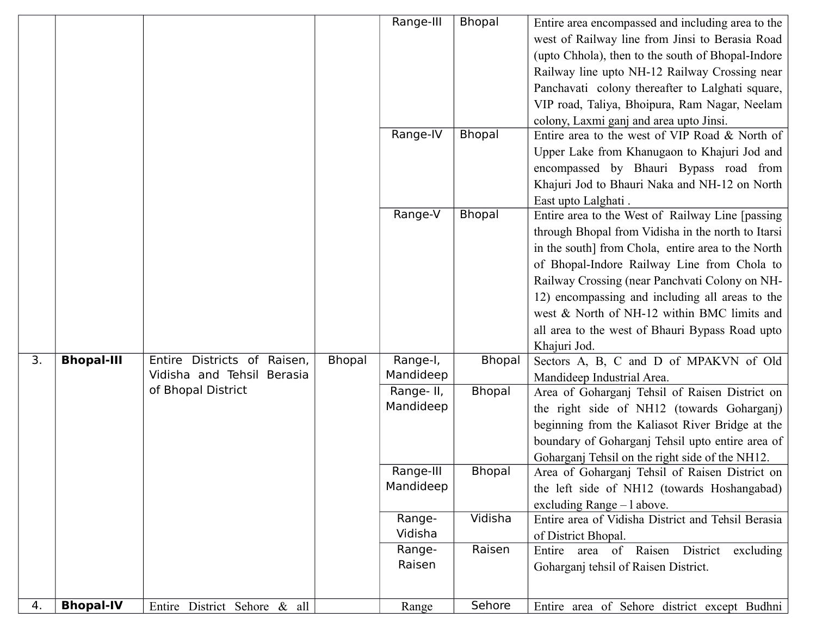|    |                   |                                |        | Range-III<br>Range-IV  | <b>Bhopal</b><br>Bhopal | Entire area encompassed and including area to the<br>west of Railway line from Jinsi to Berasia Road<br>(upto Chhola), then to the south of Bhopal-Indore<br>Railway line upto NH-12 Railway Crossing near<br>Panchavati colony thereafter to Lalghati square,<br>VIP road, Taliya, Bhoipura, Ram Nagar, Neelam<br>colony, Laxmi ganj and area upto Jinsi.<br>Entire area to the west of VIP Road & North of<br>Upper Lake from Khanugaon to Khajuri Jod and<br>encompassed by Bhauri Bypass road from |
|----|-------------------|--------------------------------|--------|------------------------|-------------------------|--------------------------------------------------------------------------------------------------------------------------------------------------------------------------------------------------------------------------------------------------------------------------------------------------------------------------------------------------------------------------------------------------------------------------------------------------------------------------------------------------------|
|    |                   |                                |        | Range-V                | <b>Bhopal</b>           | Khajuri Jod to Bhauri Naka and NH-12 on North<br>East upto Lalghati.<br>Entire area to the West of Railway Line [passing]<br>through Bhopal from Vidisha in the north to Itarsi<br>in the south] from Chola, entire area to the North<br>of Bhopal-Indore Railway Line from Chola to<br>Railway Crossing (near Panchvati Colony on NH-<br>12) encompassing and including all areas to the<br>west & North of NH-12 within BMC limits and<br>all area to the west of Bhauri Bypass Road upto            |
| 3. | <b>Bhopal-III</b> | Districts of Raisen,<br>Entire | Bhopal | Range-I,               | <b>Bhopal</b>           | Khajuri Jod.<br>Sectors A, B, C and D of MPAKVN of Old                                                                                                                                                                                                                                                                                                                                                                                                                                                 |
|    |                   | Vidisha and Tehsil Berasia     |        | Mandideep              |                         | Mandideep Industrial Area.                                                                                                                                                                                                                                                                                                                                                                                                                                                                             |
|    |                   | of Bhopal District             |        | Range-II,<br>Mandideep | <b>Bhopal</b>           | Area of Goharganj Tehsil of Raisen District on<br>the right side of NH12 (towards Goharganj)<br>beginning from the Kaliasot River Bridge at the<br>boundary of Goharganj Tehsil upto entire area of<br>Goharganj Tehsil on the right side of the NH12.                                                                                                                                                                                                                                                 |
|    |                   |                                |        | Range-III<br>Mandideep | <b>Bhopal</b>           | Area of Goharganj Tehsil of Raisen District on<br>the left side of NH12 (towards Hoshangabad)<br>excluding Range $-1$ above.                                                                                                                                                                                                                                                                                                                                                                           |
|    |                   |                                |        | Range-<br>Vidisha      | Vidisha                 | Entire area of Vidisha District and Tehsil Berasia<br>of District Bhopal.                                                                                                                                                                                                                                                                                                                                                                                                                              |
|    |                   |                                |        | Range-<br>Raisen       | Raisen                  | Entire area of Raisen District excluding<br>Goharganj tehsil of Raisen District.                                                                                                                                                                                                                                                                                                                                                                                                                       |
| 4. | <b>Bhopal-IV</b>  | Entire District Sehore & all   |        | Range                  | Sehore                  | Entire area of Sehore district except Budhni                                                                                                                                                                                                                                                                                                                                                                                                                                                           |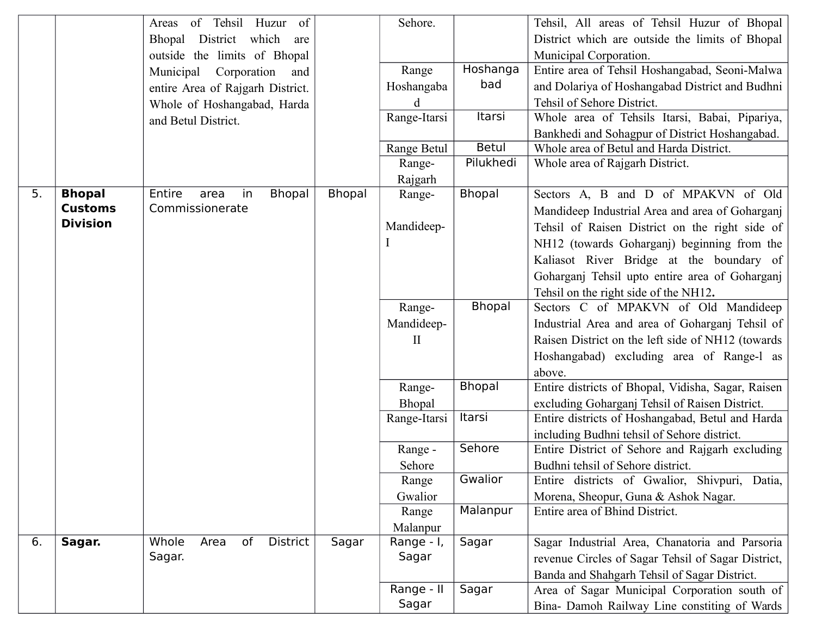|    |                 | of Tehsil Huzur of<br>Areas           |               | Sehore.                |               | Tehsil, All areas of Tehsil Huzur of Bhopal                            |
|----|-----------------|---------------------------------------|---------------|------------------------|---------------|------------------------------------------------------------------------|
|    |                 | which<br>District<br>Bhopal<br>are    |               |                        |               | District which are outside the limits of Bhopal                        |
|    |                 | outside the limits of Bhopal          |               |                        |               | Municipal Corporation.                                                 |
|    |                 | Corporation<br>Municipal<br>and       |               | Range                  | Hoshanga      | Entire area of Tehsil Hoshangabad, Seoni-Malwa                         |
|    |                 | entire Area of Rajgarh District.      |               | Hoshangaba             | bad           | and Dolariya of Hoshangabad District and Budhni                        |
|    |                 | Whole of Hoshangabad, Harda           |               | d                      |               | Tehsil of Sehore District.                                             |
|    |                 | and Betul District.                   |               | Range-Itarsi           | Itarsi        | Whole area of Tehsils Itarsi, Babai, Pipariya,                         |
|    |                 |                                       |               |                        |               | Bankhedi and Sohagpur of District Hoshangabad.                         |
|    |                 |                                       |               | Range Betul            | <b>Betul</b>  | Whole area of Betul and Harda District.                                |
|    |                 |                                       |               | Range-                 | Pilukhedi     | Whole area of Rajgarh District.                                        |
|    |                 |                                       |               | Rajgarh                |               |                                                                        |
| 5. | <b>Bhopal</b>   | Entire<br><b>Bhopal</b><br>in<br>area | <b>Bhopal</b> | Range-                 | <b>Bhopal</b> | Sectors A, B and D of MPAKVN of Old                                    |
|    | <b>Customs</b>  | Commissionerate                       |               |                        |               | Mandideep Industrial Area and area of Goharganj                        |
|    | <b>Division</b> |                                       |               | Mandideep-             |               | Tehsil of Raisen District on the right side of                         |
|    |                 |                                       |               |                        |               | NH12 (towards Goharganj) beginning from the                            |
|    |                 |                                       |               |                        |               | Kaliasot River Bridge at the boundary of                               |
|    |                 |                                       |               |                        |               | Goharganj Tehsil upto entire area of Goharganj                         |
|    |                 |                                       |               |                        |               | Tehsil on the right side of the NH12.                                  |
|    |                 |                                       |               | Range-                 | <b>Bhopal</b> | Sectors C of MPAKVN of Old Mandideep                                   |
|    |                 |                                       |               | Mandideep-             |               | Industrial Area and area of Goharganj Tehsil of                        |
|    |                 |                                       |               | $\mathbf{I}$           |               | Raisen District on the left side of NH12 (towards                      |
|    |                 |                                       |               |                        |               | Hoshangabad) excluding area of Range-1 as                              |
|    |                 |                                       |               |                        |               | above.                                                                 |
|    |                 |                                       |               | Range-                 | <b>Bhopal</b> | Entire districts of Bhopal, Vidisha, Sagar, Raisen                     |
|    |                 |                                       |               | Bhopal                 |               | excluding Goharganj Tehsil of Raisen District.                         |
|    |                 |                                       |               | Range-Itarsi           | Itarsi        | Entire districts of Hoshangabad, Betul and Harda                       |
|    |                 |                                       |               |                        |               | including Budhni tehsil of Sehore district.                            |
|    |                 |                                       |               | Range -                | Sehore        | Entire District of Sehore and Rajgarh excluding                        |
|    |                 |                                       |               | Sehore                 | Gwalior       | Budhni tehsil of Sehore district.                                      |
|    |                 |                                       |               | Range                  |               | Entire districts of Gwalior, Shivpuri, Datia,                          |
|    |                 |                                       |               | Gwalior                | Malanpur      | Morena, Sheopur, Guna & Ashok Nagar.<br>Entire area of Bhind District. |
|    |                 |                                       |               | Range                  |               |                                                                        |
| 6. | Sagar.          | of<br>District<br>Whole<br>Area       | Sagar         | Malanpur<br>Range - I, | Sagar         | Sagar Industrial Area, Chanatoria and Parsoria                         |
|    |                 | Sagar.                                |               | Sagar                  |               | revenue Circles of Sagar Tehsil of Sagar District,                     |
|    |                 |                                       |               |                        |               | Banda and Shahgarh Tehsil of Sagar District.                           |
|    |                 |                                       |               | Range - II             | Sagar         | Area of Sagar Municipal Corporation south of                           |
|    |                 |                                       |               |                        |               |                                                                        |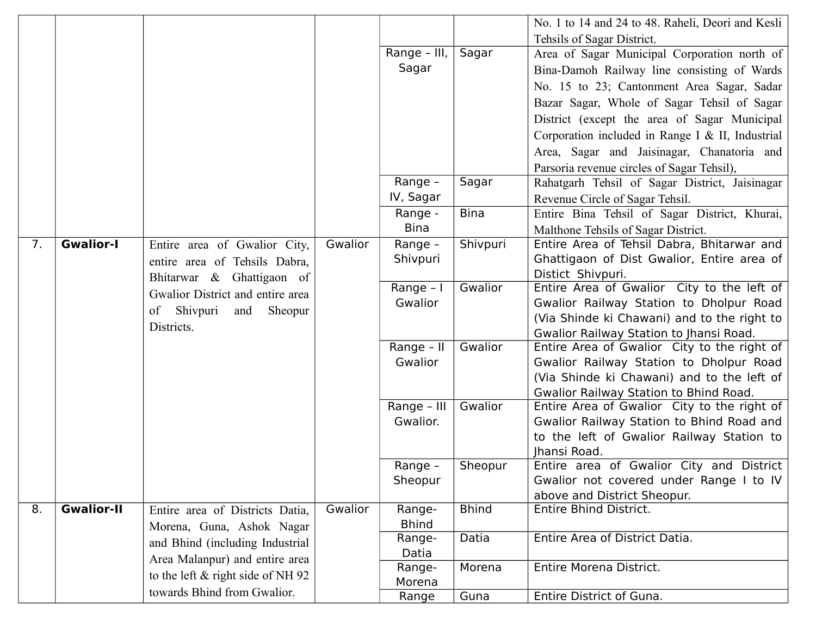|    |                   |                                                              |         |                      |              | No. 1 to 14 and 24 to 48. Raheli, Deori and Kesli               |
|----|-------------------|--------------------------------------------------------------|---------|----------------------|--------------|-----------------------------------------------------------------|
|    |                   |                                                              |         |                      |              | Tehsils of Sagar District.                                      |
|    |                   |                                                              |         | Range - III,         | Sagar        | Area of Sagar Municipal Corporation north of                    |
|    |                   |                                                              |         | Sagar                |              | Bina-Damoh Railway line consisting of Wards                     |
|    |                   |                                                              |         |                      |              | No. 15 to 23; Cantonment Area Sagar, Sadar                      |
|    |                   |                                                              |         |                      |              | Bazar Sagar, Whole of Sagar Tehsil of Sagar                     |
|    |                   |                                                              |         |                      |              | District (except the area of Sagar Municipal                    |
|    |                   |                                                              |         |                      |              | Corporation included in Range I & II, Industrial                |
|    |                   |                                                              |         |                      |              | Area, Sagar and Jaisinagar, Chanatoria and                      |
|    |                   |                                                              |         |                      |              | Parsoria revenue circles of Sagar Tehsil),                      |
|    |                   |                                                              |         | Range -              | Sagar        | Rahatgarh Tehsil of Sagar District, Jaisinagar                  |
|    |                   |                                                              |         | IV, Sagar            |              | Revenue Circle of Sagar Tehsil.                                 |
|    |                   |                                                              |         | Range -              | <b>Bina</b>  | Entire Bina Tehsil of Sagar District, Khurai,                   |
|    |                   |                                                              |         | <b>Bina</b>          |              | Malthone Tehsils of Sagar District.                             |
| 7. | <b>Gwalior-I</b>  | Entire area of Gwalior City,                                 | Gwalior | Range -              | Shivpuri     | Entire Area of Tehsil Dabra, Bhitarwar and                      |
|    |                   | entire area of Tehsils Dabra,                                |         | Shivpuri             |              | Ghattigaon of Dist Gwalior, Entire area of                      |
|    |                   | Bhitarwar & Ghattigaon of                                    |         |                      |              | Distict Shivpuri.<br>Entire Area of Gwalior City to the left of |
|    |                   | Gwalior District and entire area                             |         | Range - I<br>Gwalior | Gwalior      | Gwalior Railway Station to Dholpur Road                         |
|    |                   | Shivpuri<br>of<br>and<br>Sheopur                             |         |                      |              | (Via Shinde ki Chawani) and to the right to                     |
|    |                   | Districts.                                                   |         |                      |              | Gwalior Railway Station to Jhansi Road.                         |
|    |                   |                                                              |         | Range - II           | Gwalior      | Entire Area of Gwalior City to the right of                     |
|    |                   |                                                              |         | Gwalior              |              | Gwalior Railway Station to Dholpur Road                         |
|    |                   |                                                              |         |                      |              | (Via Shinde ki Chawani) and to the left of                      |
|    |                   |                                                              |         |                      |              | Gwalior Railway Station to Bhind Road.                          |
|    |                   |                                                              |         | Range - III          | Gwalior      | Entire Area of Gwalior City to the right of                     |
|    |                   |                                                              |         | Gwalior.             |              | Gwalior Railway Station to Bhind Road and                       |
|    |                   |                                                              |         |                      |              | to the left of Gwalior Railway Station to                       |
|    |                   |                                                              |         |                      |              | Jhansi Road.                                                    |
|    |                   |                                                              |         | Range -              | Sheopur      | Entire area of Gwalior City and District                        |
|    |                   |                                                              |         | Sheopur              |              | Gwalior not covered under Range I to IV                         |
| 8. | <b>Gwalior-II</b> |                                                              | Gwalior | Range-               | <b>Bhind</b> | above and District Sheopur.<br><b>Entire Bhind District.</b>    |
|    |                   | Entire area of Districts Datia,<br>Morena, Guna, Ashok Nagar |         | <b>Bhind</b>         |              |                                                                 |
|    |                   |                                                              |         | Range-               | Datia        | Entire Area of District Datia.                                  |
|    |                   | and Bhind (including Industrial                              |         | Datia                |              |                                                                 |
|    |                   | Area Malanpur) and entire area                               |         | Range-               | Morena       | Entire Morena District.                                         |
|    |                   | to the left & right side of NH 92                            |         | Morena               |              |                                                                 |
|    |                   | towards Bhind from Gwalior.                                  |         | Range                | Guna         | Entire District of Guna.                                        |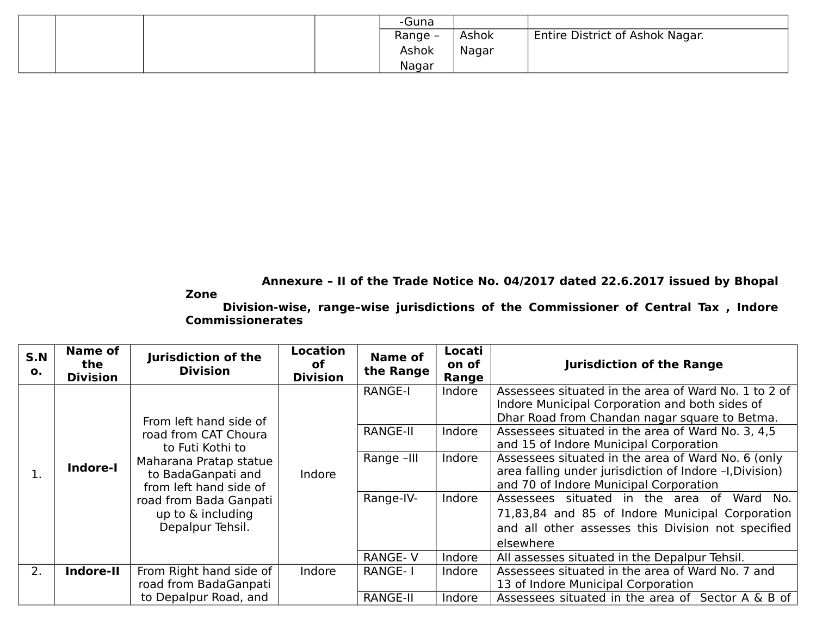|  | -Guna   |       |                                 |
|--|---------|-------|---------------------------------|
|  | Range - | Ashok | Entire District of Ashok Nagar. |
|  | Ashok   | Nagar |                                 |
|  | Nagar   |       |                                 |

 **Annexure – II of the Trade Notice No. 04/2017 dated 22.6.2017 issued by Bhopal**

#### **Zone**

**Division-wise, range–wise jurisdictions of the Commissioner of Central Tax , Indore Commissionerates** 

| S.N<br>0. | Name of<br>the<br><b>Division</b> | Jurisdiction of the<br><b>Division</b>                                                                             | <b>Location</b><br>оf<br><b>Division</b> | Name of<br>the Range | Locati<br>on of<br>Range | <b>Jurisdiction of the Range</b>                                                                                                                                    |
|-----------|-----------------------------------|--------------------------------------------------------------------------------------------------------------------|------------------------------------------|----------------------|--------------------------|---------------------------------------------------------------------------------------------------------------------------------------------------------------------|
|           |                                   | From left hand side of                                                                                             | Indore                                   | <b>RANGE-I</b>       | Indore                   | Assessees situated in the area of Ward No. 1 to 2 of<br>Indore Municipal Corporation and both sides of<br>Dhar Road from Chandan nagar square to Betma.             |
| 1.        | Indore-I                          | road from CAT Choura<br>to Futi Kothi to<br>Maharana Pratap statue<br>to BadaGanpati and<br>from left hand side of |                                          | <b>RANGE-II</b>      | Indore                   | Assessees situated in the area of Ward No. 3, 4,5<br>and 15 of Indore Municipal Corporation                                                                         |
|           |                                   |                                                                                                                    |                                          | Range -III           | Indore                   | Assessees situated in the area of Ward No. 6 (only<br>area falling under jurisdiction of Indore -I, Division)<br>and 70 of Indore Municipal Corporation             |
|           |                                   | road from Bada Ganpati<br>up to & including<br>Depalpur Tehsil.                                                    |                                          | Range-IV-            | Indore                   | Assessees situated in the area of<br>Ward No.<br>71,83,84 and 85 of Indore Municipal Corporation<br>and all other assesses this Division not specified<br>elsewhere |
|           |                                   |                                                                                                                    |                                          | <b>RANGE-V</b>       | Indore                   | All assesses situated in the Depalpur Tehsil.                                                                                                                       |
| 2.        | Indore-II                         | From Right hand side of<br>road from BadaGanpati                                                                   | Indore                                   | <b>RANGE-1</b>       | Indore                   | Assessees situated in the area of Ward No. 7 and<br>13 of Indore Municipal Corporation                                                                              |
|           |                                   | to Depalpur Road, and                                                                                              |                                          | <b>RANGE-II</b>      | Indore                   | Assessees situated in the area of Sector A & B of                                                                                                                   |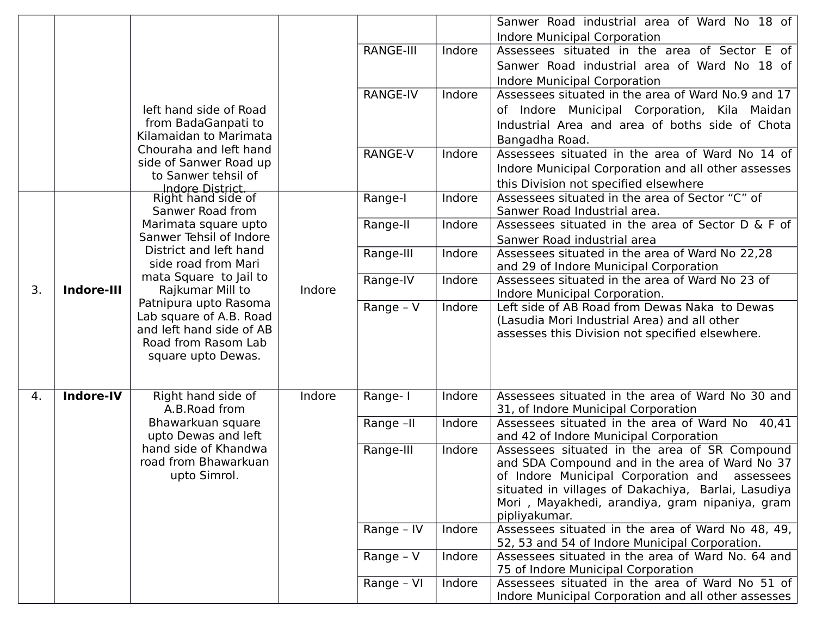|    |            |                                                                                         |        |                        |        | Sanwer Road industrial area of Ward No 18 of                                     |
|----|------------|-----------------------------------------------------------------------------------------|--------|------------------------|--------|----------------------------------------------------------------------------------|
|    |            |                                                                                         |        |                        |        | <b>Indore Municipal Corporation</b>                                              |
|    |            |                                                                                         |        | <b>RANGE-III</b>       | Indore | Assessees situated in the area of Sector E of                                    |
|    |            |                                                                                         |        |                        |        | Sanwer Road industrial area of Ward No 18 of                                     |
|    |            |                                                                                         |        |                        |        | <b>Indore Municipal Corporation</b>                                              |
|    |            |                                                                                         |        | <b>RANGE-IV</b>        | Indore | Assessees situated in the area of Ward No.9 and 17                               |
|    |            | left hand side of Road                                                                  |        |                        |        | of Indore Municipal Corporation, Kila Maidan                                     |
|    |            | from BadaGanpati to                                                                     |        |                        |        | Industrial Area and area of boths side of Chota                                  |
|    |            | Kilamaidan to Marimata                                                                  |        |                        |        | Bangadha Road.                                                                   |
|    |            | Chouraha and left hand                                                                  |        | RANGE-V                | Indore | Assessees situated in the area of Ward No 14 of                                  |
|    |            | side of Sanwer Road up<br>to Sanwer tehsil of<br>Indore District.<br>Right hand side of |        |                        |        | Indore Municipal Corporation and all other assesses                              |
|    |            |                                                                                         |        |                        |        | this Division not specified elsewhere                                            |
|    |            |                                                                                         |        | Range-I                | Indore | Assessees situated in the area of Sector "C" of                                  |
|    |            | Sanwer Road from                                                                        |        |                        |        | Sanwer Road Industrial area.                                                     |
|    |            | Marimata square upto<br>Sanwer Tehsil of Indore                                         |        | Range-II               | Indore | Assessees situated in the area of Sector D & F of                                |
|    |            |                                                                                         |        |                        |        | Sanwer Road industrial area                                                      |
|    |            | District and left hand<br>side road from Mari                                           |        | Range-III              | Indore | Assessees situated in the area of Ward No 22,28                                  |
|    |            | mata Square to Jail to                                                                  |        |                        |        | and 29 of Indore Municipal Corporation                                           |
| 3. | Indore-III | Rajkumar Mill to                                                                        | Indore | Range-IV               | Indore | Assessees situated in the area of Ward No 23 of<br>Indore Municipal Corporation. |
|    |            | Patnipura upto Rasoma                                                                   |        | $\overline{Range}$ - V | Indore | Left side of AB Road from Dewas Naka to Dewas                                    |
|    |            | Lab square of A.B. Road                                                                 |        |                        |        | (Lasudia Mori Industrial Area) and all other                                     |
|    |            | and left hand side of AB                                                                |        |                        |        | assesses this Division not specified elsewhere.                                  |
|    |            | Road from Rasom Lab                                                                     |        |                        |        |                                                                                  |
|    |            | square upto Dewas.                                                                      |        |                        |        |                                                                                  |
|    |            |                                                                                         |        |                        |        |                                                                                  |
| 4. | Indore-IV  | Right hand side of                                                                      | Indore | Range-I                | Indore | Assessees situated in the area of Ward No 30 and                                 |
|    |            | A.B.Road from                                                                           |        |                        |        | 31, of Indore Municipal Corporation                                              |
|    |            | Bhawarkuan square                                                                       |        | Range -II              | Indore | Assessees situated in the area of Ward No 40,41                                  |
|    |            | upto Dewas and left                                                                     |        |                        |        | and 42 of Indore Municipal Corporation                                           |
|    |            | hand side of Khandwa                                                                    |        | Range-III              | Indore | Assessees situated in the area of SR Compound                                    |
|    |            | road from Bhawarkuan                                                                    |        |                        |        | and SDA Compound and in the area of Ward No 37                                   |
|    |            | upto Simrol.                                                                            |        |                        |        | of Indore Municipal Corporation and assessees                                    |
|    |            |                                                                                         |        |                        |        | situated in villages of Dakachiya, Barlai, Lasudiya                              |
|    |            |                                                                                         |        |                        |        | Mori, Mayakhedi, arandiya, gram nipaniya, gram<br>pipliyakumar.                  |
|    |            |                                                                                         |        | Range - IV             | Indore | Assessees situated in the area of Ward No 48, 49,                                |
|    |            |                                                                                         |        |                        |        | 52, 53 and 54 of Indore Municipal Corporation.                                   |
|    |            |                                                                                         |        | Range - V              | Indore | Assessees situated in the area of Ward No. 64 and                                |
|    |            |                                                                                         |        |                        |        | 75 of Indore Municipal Corporation                                               |
|    |            |                                                                                         |        | Range - VI             | Indore | Assessees situated in the area of Ward No 51 of                                  |
|    |            |                                                                                         |        |                        |        | Indore Municipal Corporation and all other assesses                              |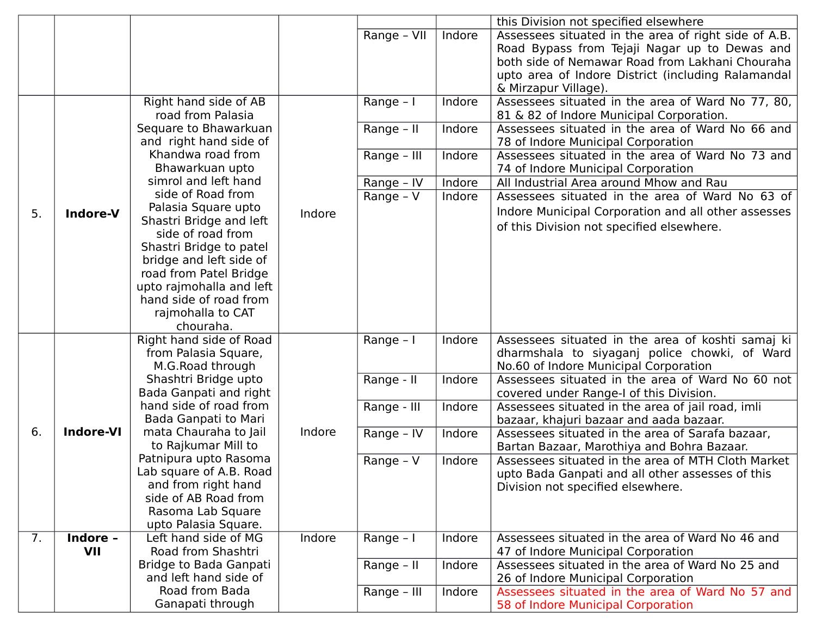|    |                  |                                              |        |             |        | this Division not specified elsewhere                |
|----|------------------|----------------------------------------------|--------|-------------|--------|------------------------------------------------------|
|    |                  |                                              |        | Range - VII | Indore | Assessees situated in the area of right side of A.B. |
|    |                  |                                              |        |             |        | Road Bypass from Tejaji Nagar up to Dewas and        |
|    |                  |                                              |        |             |        | both side of Nemawar Road from Lakhani Chouraha      |
|    |                  |                                              |        |             |        | upto area of Indore District (including Ralamandal   |
|    |                  |                                              |        |             |        | & Mirzapur Village).                                 |
|    |                  | Right hand side of AB                        |        | Range - I   | Indore | Assessees situated in the area of Ward No 77, 80,    |
|    |                  | road from Palasia                            |        |             |        | 81 & 82 of Indore Municipal Corporation.             |
|    |                  | Sequare to Bhawarkuan                        |        | Range - II  | Indore | Assessees situated in the area of Ward No 66 and     |
|    |                  | and right hand side of                       |        |             |        | 78 of Indore Municipal Corporation                   |
|    |                  | Khandwa road from                            |        |             |        | Assessees situated in the area of Ward No 73 and     |
|    |                  | Bhawarkuan upto                              |        | Range - III | Indore |                                                      |
|    |                  | simrol and left hand                         |        |             |        | 74 of Indore Municipal Corporation                   |
|    |                  | side of Road from                            |        | Range - IV  | Indore | All Industrial Area around Mhow and Rau              |
|    |                  |                                              |        | Range - $V$ | Indore | Assessees situated in the area of Ward No 63 of      |
| 5. | Indore-V         | Palasia Square upto                          | Indore |             |        | Indore Municipal Corporation and all other assesses  |
|    |                  | Shastri Bridge and left<br>side of road from |        |             |        | of this Division not specified elsewhere.            |
|    |                  | Shastri Bridge to patel                      |        |             |        |                                                      |
|    |                  |                                              |        |             |        |                                                      |
|    |                  | bridge and left side of                      |        |             |        |                                                      |
|    |                  | road from Patel Bridge                       |        |             |        |                                                      |
|    |                  | upto rajmohalla and left                     |        |             |        |                                                      |
|    |                  | hand side of road from                       |        |             |        |                                                      |
|    |                  | rajmohalla to CAT<br>chouraha.               |        |             |        |                                                      |
|    |                  | Right hand side of Road                      |        | Range - I   | Indore | Assessees situated in the area of koshti samaj ki    |
|    |                  | from Palasia Square,                         |        |             |        | dharmshala to siyaganj police chowki, of Ward        |
|    |                  | M.G.Road through                             |        |             |        | No.60 of Indore Municipal Corporation                |
|    |                  | Shashtri Bridge upto                         |        | Range - II  | Indore | Assessees situated in the area of Ward No 60 not     |
|    |                  | Bada Ganpati and right                       |        |             |        | covered under Range-I of this Division.              |
|    |                  | hand side of road from                       |        | Range - III | Indore | Assessees situated in the area of jail road, imli    |
|    |                  | Bada Ganpati to Mari                         |        |             |        | bazaar, khajuri bazaar and aada bazaar.              |
| 6. | <b>Indore-VI</b> | mata Chauraha to Jail                        | Indore | Range - IV  | Indore | Assessees situated in the area of Sarafa bazaar,     |
|    |                  | to Rajkumar Mill to                          |        |             |        | Bartan Bazaar, Marothiya and Bohra Bazaar.           |
|    |                  | Patnipura upto Rasoma                        |        | Range - V   | Indore | Assessees situated in the area of MTH Cloth Market   |
|    |                  | Lab square of A.B. Road                      |        |             |        | upto Bada Ganpati and all other assesses of this     |
|    |                  | and from right hand                          |        |             |        | Division not specified elsewhere.                    |
|    |                  | side of AB Road from                         |        |             |        |                                                      |
|    |                  | Rasoma Lab Square                            |        |             |        |                                                      |
|    |                  | upto Palasia Square.                         |        |             |        |                                                      |
| 7. | Indore -         | Left hand side of MG                         | Indore | Range - I   | Indore | Assessees situated in the area of Ward No 46 and     |
|    | VII              | Road from Shashtri                           |        |             |        | 47 of Indore Municipal Corporation                   |
|    |                  | Bridge to Bada Ganpati                       |        | Range - II  | Indore | Assessees situated in the area of Ward No 25 and     |
|    |                  | and left hand side of                        |        |             |        | 26 of Indore Municipal Corporation                   |
|    |                  | Road from Bada                               |        | Range - III | Indore | Assessees situated in the area of Ward No 57 and     |
|    |                  | Ganapati through                             |        |             |        | 58 of Indore Municipal Corporation                   |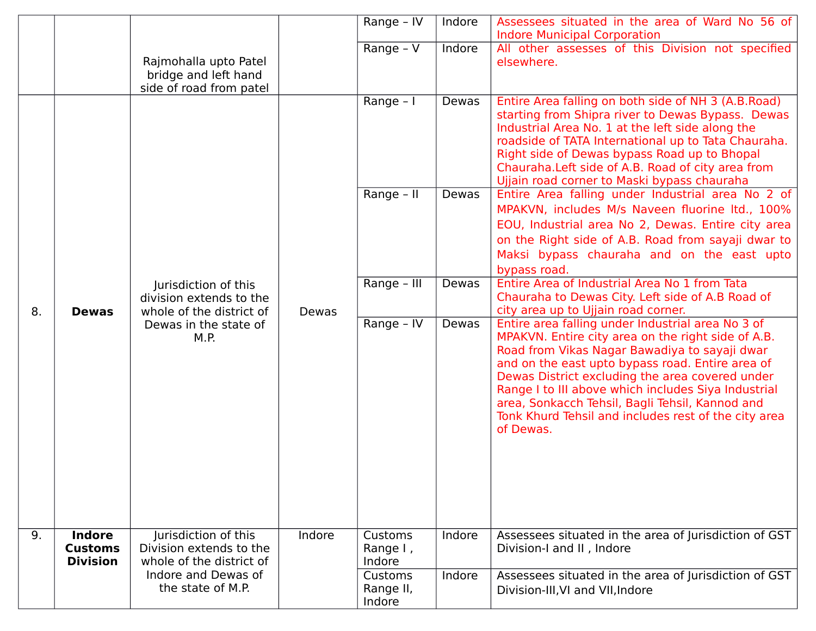|    |                                          |                                                                             |                                | Range - IV              | Indore                                                                                                                                                                                                                                                                                                                                                                                                                                         | Assessees situated in the area of Ward No 56 of<br><b>Indore Municipal Corporation</b>                                                                                                                                                                                                                                                                                                                                                                                                                                                 |
|----|------------------------------------------|-----------------------------------------------------------------------------|--------------------------------|-------------------------|------------------------------------------------------------------------------------------------------------------------------------------------------------------------------------------------------------------------------------------------------------------------------------------------------------------------------------------------------------------------------------------------------------------------------------------------|----------------------------------------------------------------------------------------------------------------------------------------------------------------------------------------------------------------------------------------------------------------------------------------------------------------------------------------------------------------------------------------------------------------------------------------------------------------------------------------------------------------------------------------|
|    |                                          | Rajmohalla upto Patel<br>bridge and left hand<br>side of road from patel    |                                | Range - V               | Indore                                                                                                                                                                                                                                                                                                                                                                                                                                         | All other assesses of this Division not specified<br>elsewhere.                                                                                                                                                                                                                                                                                                                                                                                                                                                                        |
|    |                                          |                                                                             |                                | Range - I<br>Range - II | Dewas<br>Dewas                                                                                                                                                                                                                                                                                                                                                                                                                                 | Entire Area falling on both side of NH 3 (A.B.Road)<br>starting from Shipra river to Dewas Bypass. Dewas<br>Industrial Area No. 1 at the left side along the<br>roadside of TATA International up to Tata Chauraha.<br>Right side of Dewas bypass Road up to Bhopal<br>Chauraha. Left side of A.B. Road of city area from<br>Ujjain road corner to Maski bypass chauraha<br>Entire Area falling under Industrial area No 2 of<br>MPAKVN, includes M/s Naveen fluorine ltd., 100%<br>EOU, Industrial area No 2, Dewas. Entire city area |
|    |                                          |                                                                             |                                |                         |                                                                                                                                                                                                                                                                                                                                                                                                                                                | on the Right side of A.B. Road from sayaji dwar to<br>Maksi bypass chauraha and on the east upto<br>bypass road.                                                                                                                                                                                                                                                                                                                                                                                                                       |
| 8. | <b>Dewas</b>                             | Jurisdiction of this<br>division extends to the<br>whole of the district of | Dewas                          | Range - III             | Dewas                                                                                                                                                                                                                                                                                                                                                                                                                                          | Entire Area of Industrial Area No 1 from Tata<br>Chauraha to Dewas City. Left side of A.B Road of<br>city area up to Ujjain road corner.                                                                                                                                                                                                                                                                                                                                                                                               |
|    | Dewas in the state of<br>M.P.            |                                                                             | Range - IV                     | Dewas                   | Entire area falling under Industrial area No 3 of<br>MPAKVN. Entire city area on the right side of A.B.<br>Road from Vikas Nagar Bawadiya to sayaji dwar<br>and on the east upto bypass road. Entire area of<br>Dewas District excluding the area covered under<br>Range I to III above which includes Siya Industrial<br>area, Sonkacch Tehsil, Bagli Tehsil, Kannod and<br>Tonk Khurd Tehsil and includes rest of the city area<br>of Dewas. |                                                                                                                                                                                                                                                                                                                                                                                                                                                                                                                                        |
| 9. | <b>Indore</b>                            |                                                                             | Indore                         | Customs                 | Indore                                                                                                                                                                                                                                                                                                                                                                                                                                         | Assessees situated in the area of Jurisdiction of GST                                                                                                                                                                                                                                                                                                                                                                                                                                                                                  |
|    | <b>Customs</b><br><b>Division</b>        | Jurisdiction of this<br>Division extends to the<br>whole of the district of |                                | Range I,<br>Indore      |                                                                                                                                                                                                                                                                                                                                                                                                                                                | Division-I and II, Indore                                                                                                                                                                                                                                                                                                                                                                                                                                                                                                              |
|    | Indore and Dewas of<br>the state of M.P. |                                                                             | Customs<br>Range II,<br>Indore | Indore                  | Assessees situated in the area of Jurisdiction of GST<br>Division-III, VI and VII, Indore                                                                                                                                                                                                                                                                                                                                                      |                                                                                                                                                                                                                                                                                                                                                                                                                                                                                                                                        |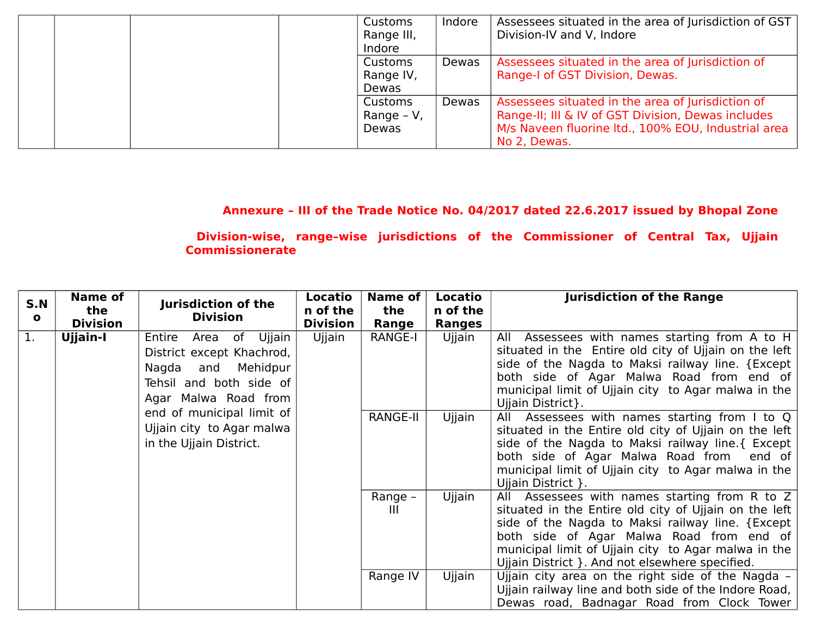|  |  | Customs    | Indore | Assessees situated in the area of Jurisdiction of GST |
|--|--|------------|--------|-------------------------------------------------------|
|  |  | Range III, |        | Division-IV and V, Indore                             |
|  |  | Indore     |        |                                                       |
|  |  | Customs    | Dewas  | Assessees situated in the area of Jurisdiction of     |
|  |  | Range IV,  |        | Range-I of GST Division, Dewas.                       |
|  |  | Dewas      |        |                                                       |
|  |  | Customs    | Dewas  | Assessees situated in the area of Jurisdiction of     |
|  |  | Range - V, |        | Range-II; III & IV of GST Division, Dewas includes    |
|  |  | Dewas      |        | M/s Naveen fluorine ltd., 100% EOU, Industrial area   |
|  |  |            |        | No 2, Dewas.                                          |

**Annexure – III of the Trade Notice No. 04/2017 dated 22.6.2017 issued by Bhopal Zone**

 **Division-wise, range–wise jurisdictions of the Commissioner of Central Tax, Ujjain Commissionerate** 

| S.N          | <b>Name of</b><br>the | Jurisdiction of the                                                                                                            | Locatio<br>n of the | Name of<br>the | Locatio<br>n of the | <b>Jurisdiction of the Range</b>                                                                                                                                                                                                                                                                                 |
|--------------|-----------------------|--------------------------------------------------------------------------------------------------------------------------------|---------------------|----------------|---------------------|------------------------------------------------------------------------------------------------------------------------------------------------------------------------------------------------------------------------------------------------------------------------------------------------------------------|
| $\mathbf{o}$ | <b>Division</b>       | <b>Division</b>                                                                                                                | <b>Division</b>     | Range          | <b>Ranges</b>       |                                                                                                                                                                                                                                                                                                                  |
| 1.           | Ujjain-I              | Entire<br>Area of Ujjain<br>District except Khachrod,<br>Nagda and Mehidpur<br>Tehsil and both side of<br>Agar Malwa Road from | Ujjain              | <b>RANGE-I</b> | Ujjain              | All Assessees with names starting from A to H<br>situated in the Entire old city of Ujjain on the left<br>side of the Nagda to Maksi railway line. {Except<br>both side of Agar Malwa Road from end of<br>municipal limit of Ujjain city to Agar malwa in the<br>Ujjain District }.                              |
|              |                       | end of municipal limit of<br>Ujjain city to Agar malwa<br>in the Ujjain District.                                              |                     | RANGE-II       | Ujjain              | All Assessees with names starting from I to Q<br>situated in the Entire old city of Ujjain on the left<br>side of the Nagda to Maksi railway line. { Except<br>both side of Agar Malwa Road from end of<br>municipal limit of Ujjain city to Agar malwa in the<br>Ujjain District }.                             |
|              |                       |                                                                                                                                |                     | Range -<br>Ш   | Ujjain              | All Assessees with names starting from R to Z<br>situated in the Entire old city of Ujjain on the left<br>side of the Nagda to Maksi railway line. {Except<br>both side of Agar Malwa Road from end of<br>municipal limit of Ujjain city to Agar malwa in the<br>Ujjain District }. And not elsewhere specified. |
|              |                       |                                                                                                                                |                     | Range IV       | Ujjain              | Ujjain city area on the right side of the Nagda -<br>Ujjain railway line and both side of the Indore Road,<br>Dewas road, Badnagar Road from Clock Tower                                                                                                                                                         |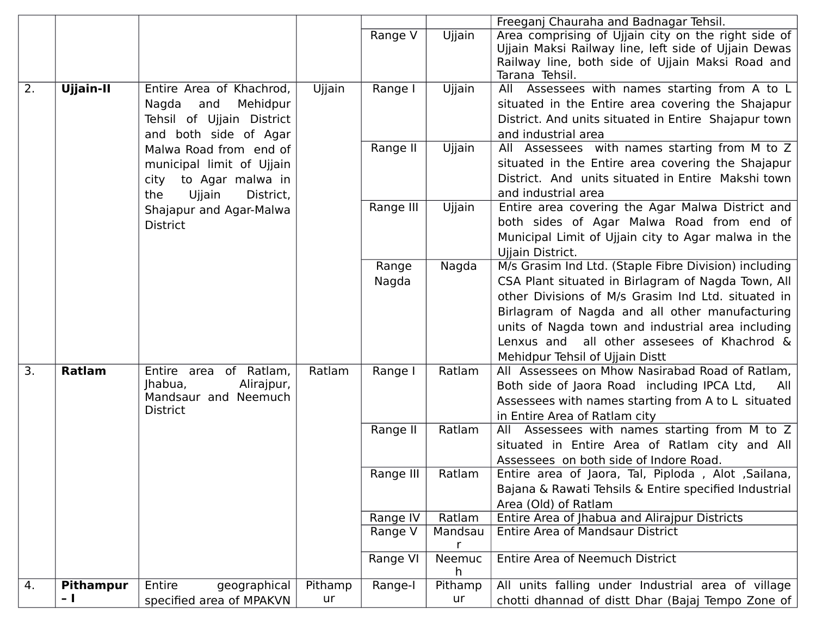|    |                  |                            |         |           |              | Freeganj Chauraha and Badnagar Tehsil.                |
|----|------------------|----------------------------|---------|-----------|--------------|-------------------------------------------------------|
|    |                  |                            |         | Range V   | Ujjain       | Area comprising of Ujjain city on the right side of   |
|    |                  |                            |         |           |              | Ujjain Maksi Railway line, left side of Ujjain Dewas  |
|    |                  |                            |         |           |              | Railway line, both side of Ujjain Maksi Road and      |
|    |                  |                            |         |           |              | Tarana Tehsil.                                        |
| 2. | Ujjain-II        | Entire Area of Khachrod,   | Ujjain  | Range I   | Ujjain       | All Assessees with names starting from A to L         |
|    |                  | Nagda<br>and<br>Mehidpur   |         |           |              | situated in the Entire area covering the Shajapur     |
|    |                  | Tehsil of Ujjain District  |         |           |              | District. And units situated in Entire Shajapur town  |
|    |                  | and both side of Agar      |         |           |              | and industrial area                                   |
|    |                  | Malwa Road from end of     |         | Range II  | Ujjain       | All Assessees with names starting from M to Z         |
|    |                  | municipal limit of Ujjain  |         |           |              | situated in the Entire area covering the Shajapur     |
|    |                  | city to Agar malwa in      |         |           |              | District. And units situated in Entire Makshi town    |
|    |                  | Ujjain<br>District,<br>the |         |           |              | and industrial area                                   |
|    |                  | Shajapur and Agar-Malwa    |         | Range III | Ujjain       | Entire area covering the Agar Malwa District and      |
|    |                  | <b>District</b>            |         |           |              | both sides of Agar Malwa Road from end of             |
|    |                  |                            |         |           |              | Municipal Limit of Ujjain city to Agar malwa in the   |
|    |                  |                            |         |           |              | Ujjain District.                                      |
|    |                  |                            |         | Range     | Nagda        | M/s Grasim Ind Ltd. (Staple Fibre Division) including |
|    |                  |                            |         | Nagda     |              | CSA Plant situated in Birlagram of Nagda Town, All    |
|    |                  |                            |         |           |              | other Divisions of M/s Grasim Ind Ltd. situated in    |
|    |                  |                            |         |           |              | Birlagram of Nagda and all other manufacturing        |
|    |                  |                            |         |           |              | units of Nagda town and industrial area including     |
|    |                  |                            |         |           |              | Lenxus and all other assesees of Khachrod &           |
|    |                  |                            |         |           |              | Mehidpur Tehsil of Ujjain Distt                       |
| 3. | Ratlam           | Entire area of Ratlam,     | Ratlam  | Range I   | Ratlam       | All Assessees on Mhow Nasirabad Road of Ratlam,       |
|    |                  | Jhabua,<br>Alirajpur,      |         |           |              | Both side of Jaora Road including IPCA Ltd,<br>All    |
|    |                  | Mandsaur and Neemuch       |         |           |              | Assessees with names starting from A to L situated    |
|    |                  | <b>District</b>            |         |           |              | in Entire Area of Ratlam city                         |
|    |                  |                            |         | Range II  | Ratlam       | All Assessees with names starting from M to Z         |
|    |                  |                            |         |           |              | situated in Entire Area of Ratlam city and All        |
|    |                  |                            |         |           |              | Assessees on both side of Indore Road.                |
|    |                  |                            |         | Range III | Ratlam       | Entire area of Jaora, Tal, Piploda, Alot, Sailana,    |
|    |                  |                            |         |           |              | Bajana & Rawati Tehsils & Entire specified Industrial |
|    |                  |                            |         |           |              | Area (Old) of Ratlam                                  |
|    |                  |                            |         | Range IV  | Ratlam       | Entire Area of Jhabua and Alirajpur Districts         |
|    |                  |                            |         | Range V   | Mandsau<br>r | <b>Entire Area of Mandsaur District</b>               |
|    |                  |                            |         | Range VI  | Neemuc       | <b>Entire Area of Neemuch District</b>                |
|    |                  |                            |         |           | h.           |                                                       |
| 4. | <b>Pithampur</b> | Entire<br>geographical     | Pithamp | Range-I   | Pithamp      | All units falling under Industrial area of village    |
|    | $-1$             | specified area of MPAKVN   | ur      |           | ur           | chotti dhannad of distt Dhar (Bajaj Tempo Zone of     |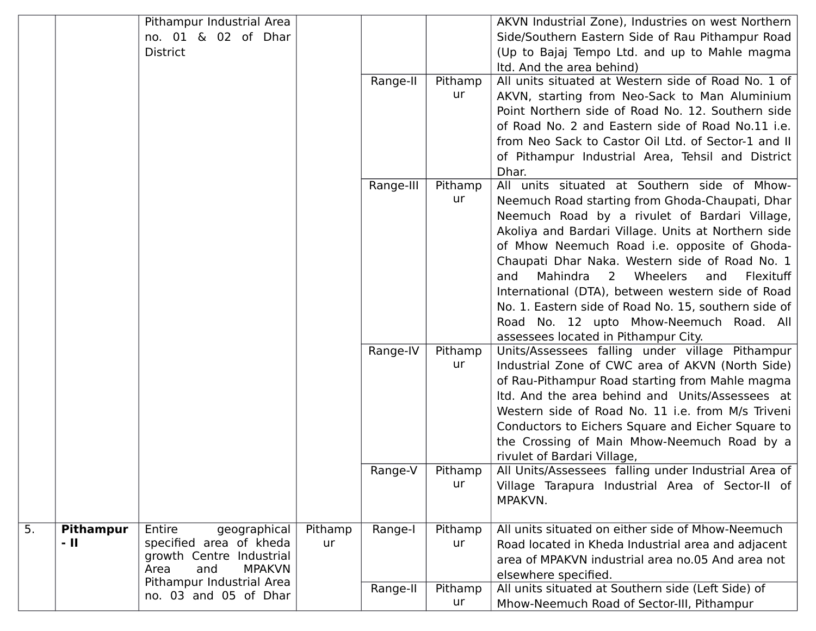|    |                  | Pithampur Industrial Area                                |         |           |               | AKVN Industrial Zone), Industries on west Northern                |
|----|------------------|----------------------------------------------------------|---------|-----------|---------------|-------------------------------------------------------------------|
|    |                  | no. 01 & 02 of Dhar                                      |         |           |               | Side/Southern Eastern Side of Rau Pithampur Road                  |
|    |                  | <b>District</b>                                          |         |           |               | (Up to Bajaj Tempo Ltd. and up to Mahle magma                     |
|    |                  |                                                          |         |           |               | Itd. And the area behind)                                         |
|    |                  |                                                          |         | Range-II  | Pithamp       | All units situated at Western side of Road No. 1 of               |
|    |                  |                                                          |         |           | ur            | AKVN, starting from Neo-Sack to Man Aluminium                     |
|    |                  |                                                          |         |           |               | Point Northern side of Road No. 12. Southern side                 |
|    |                  |                                                          |         |           |               | of Road No. 2 and Eastern side of Road No.11 i.e.                 |
|    |                  |                                                          |         |           |               | from Neo Sack to Castor Oil Ltd. of Sector-1 and II               |
|    |                  |                                                          |         |           |               |                                                                   |
|    |                  |                                                          |         |           |               | of Pithampur Industrial Area, Tehsil and District                 |
|    |                  |                                                          |         |           |               | Dhar.<br>All units situated at Southern side of Mhow-             |
|    |                  |                                                          |         | Range-III | Pithamp<br>ur |                                                                   |
|    |                  |                                                          |         |           |               | Neemuch Road starting from Ghoda-Chaupati, Dhar                   |
|    |                  |                                                          |         |           |               | Neemuch Road by a rivulet of Bardari Village,                     |
|    |                  |                                                          |         |           |               | Akoliya and Bardari Village. Units at Northern side               |
|    |                  |                                                          |         |           |               | of Mhow Neemuch Road i.e. opposite of Ghoda-                      |
|    |                  |                                                          |         |           |               | Chaupati Dhar Naka. Western side of Road No. 1                    |
|    |                  |                                                          |         |           |               | Mahindra<br>$\overline{2}$<br>Wheelers<br>Flexituff<br>and<br>and |
|    |                  |                                                          |         |           |               | International (DTA), between western side of Road                 |
|    |                  |                                                          |         |           |               | No. 1. Eastern side of Road No. 15, southern side of              |
|    |                  |                                                          |         |           |               | Road No. 12 upto Mhow-Neemuch Road. All                           |
|    |                  |                                                          |         |           |               | assessees located in Pithampur City.                              |
|    |                  |                                                          |         | Range-IV  | Pithamp       | Units/Assessees falling under village Pithampur                   |
|    |                  |                                                          |         |           | ur            | Industrial Zone of CWC area of AKVN (North Side)                  |
|    |                  |                                                          |         |           |               | of Rau-Pithampur Road starting from Mahle magma                   |
|    |                  |                                                          |         |           |               | Itd. And the area behind and Units/Assessees at                   |
|    |                  |                                                          |         |           |               | Western side of Road No. 11 i.e. from M/s Triveni                 |
|    |                  |                                                          |         |           |               | Conductors to Eichers Square and Eicher Square to                 |
|    |                  |                                                          |         |           |               | the Crossing of Main Mhow-Neemuch Road by a                       |
|    |                  |                                                          |         |           |               | rivulet of Bardari Village,                                       |
|    |                  |                                                          |         | Range-V   | Pithamp       | All Units/Assessees falling under Industrial Area of              |
|    |                  |                                                          |         |           | ur            | Village Tarapura Industrial Area of Sector-II of                  |
|    |                  |                                                          |         |           |               | MPAKVN.                                                           |
|    |                  |                                                          |         |           |               |                                                                   |
| 5. | <b>Pithampur</b> | Entire<br>geographical                                   | Pithamp | Range-I   | Pithamp       | All units situated on either side of Mhow-Neemuch                 |
|    | - 11             | specified area of kheda                                  | ur      |           | ur            | Road located in Kheda Industrial area and adjacent                |
|    |                  | growth Centre Industrial<br>Area<br><b>MPAKVN</b><br>and |         |           |               | area of MPAKVN industrial area no.05 And area not                 |
|    |                  | Pithampur Industrial Area                                |         |           |               | elsewhere specified.                                              |
|    |                  | no. 03 and 05 of Dhar                                    |         | Range-II  | Pithamp       | All units situated at Southern side (Left Side) of                |
|    |                  |                                                          |         |           | ur            | Mhow-Neemuch Road of Sector-III, Pithampur                        |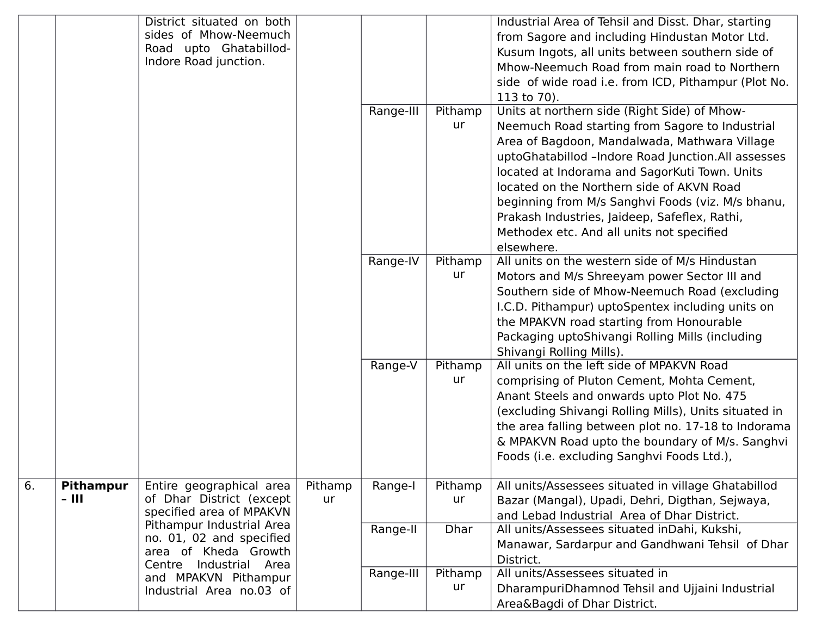|    |                                                                                                         | District situated on both<br>sides of Mhow-Neemuch<br>Road upto Ghatabillod-<br>Indore Road junction. |                       |                 |                                                                                                                                                 | Industrial Area of Tehsil and Disst. Dhar, starting<br>from Sagore and including Hindustan Motor Ltd.<br>Kusum Ingots, all units between southern side of<br>Mhow-Neemuch Road from main road to Northern<br>side of wide road i.e. from ICD, Pithampur (Plot No.<br>113 to 70).                                                                                                                                                                                      |
|----|---------------------------------------------------------------------------------------------------------|-------------------------------------------------------------------------------------------------------|-----------------------|-----------------|-------------------------------------------------------------------------------------------------------------------------------------------------|-----------------------------------------------------------------------------------------------------------------------------------------------------------------------------------------------------------------------------------------------------------------------------------------------------------------------------------------------------------------------------------------------------------------------------------------------------------------------|
|    |                                                                                                         |                                                                                                       |                       | Range-III       | Pithamp<br>ur                                                                                                                                   | Units at northern side (Right Side) of Mhow-<br>Neemuch Road starting from Sagore to Industrial<br>Area of Bagdoon, Mandalwada, Mathwara Village<br>uptoGhatabillod -Indore Road Junction.All assesses<br>located at Indorama and SagorKuti Town. Units<br>located on the Northern side of AKVN Road<br>beginning from M/s Sanghvi Foods (viz. M/s bhanu,<br>Prakash Industries, Jaideep, Safeflex, Rathi,<br>Methodex etc. And all units not specified<br>elsewhere. |
|    |                                                                                                         |                                                                                                       |                       | Range-IV        | Pithamp<br>ur                                                                                                                                   | All units on the western side of M/s Hindustan<br>Motors and M/s Shreeyam power Sector III and<br>Southern side of Mhow-Neemuch Road (excluding<br>I.C.D. Pithampur) uptoSpentex including units on<br>the MPAKVN road starting from Honourable<br>Packaging uptoShivangi Rolling Mills (including<br>Shivangi Rolling Mills).                                                                                                                                        |
|    |                                                                                                         |                                                                                                       |                       | Range-V         | Pithamp<br>ur                                                                                                                                   | All units on the left side of MPAKVN Road<br>comprising of Pluton Cement, Mohta Cement,<br>Anant Steels and onwards upto Plot No. 475<br>(excluding Shivangi Rolling Mills), Units situated in<br>the area falling between plot no. 17-18 to Indorama<br>& MPAKVN Road upto the boundary of M/s. Sanghvi<br>Foods (i.e. excluding Sanghvi Foods Ltd.),                                                                                                                |
| 6. | <b>Pithampur</b><br>- 111                                                                               | Entire geographical area<br>of Dhar District (except<br>specified area of MPAKVN                      | Pithamp<br>ur         | Range-I         | Pithamp<br>ur                                                                                                                                   | All units/Assessees situated in village Ghatabillod<br>Bazar (Mangal), Upadi, Dehri, Digthan, Sejwaya,<br>and Lebad Industrial Area of Dhar District.                                                                                                                                                                                                                                                                                                                 |
|    | Pithampur Industrial Area<br>no. 01, 02 and specified<br>area of Kheda Growth<br>Centre Industrial Area |                                                                                                       | Range-II<br>Range-III | Dhar<br>Pithamp | All units/Assessees situated inDahi, Kukshi,<br>Manawar, Sardarpur and Gandhwani Tehsil of Dhar<br>District.<br>All units/Assessees situated in |                                                                                                                                                                                                                                                                                                                                                                                                                                                                       |
|    |                                                                                                         | and MPAKVN Pithampur<br>Industrial Area no.03 of                                                      |                       |                 | ur                                                                                                                                              | DharampuriDhamnod Tehsil and Ujjaini Industrial<br>Area&Bagdi of Dhar District.                                                                                                                                                                                                                                                                                                                                                                                       |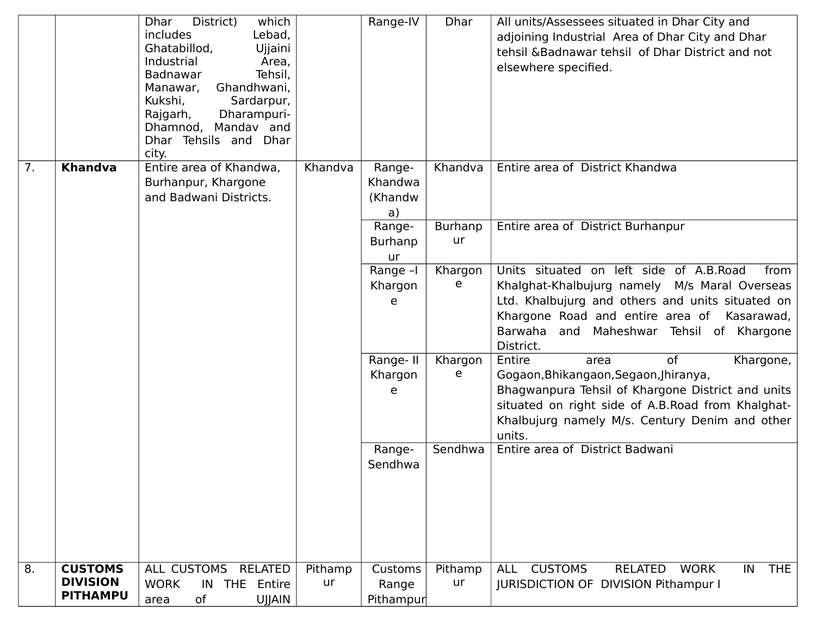|    |                                                      | which<br>District)<br><b>Dhar</b><br>includes<br>Lebad,<br>Ghatabillod,<br>Ujjaini<br>Industrial<br>Area,<br>Tehsil,<br>Badnawar<br>Ghandhwani,<br>Manawar,<br>Kukshi,<br>Sardarpur,<br>Dharampuri-<br>Rajgarh,<br>Dhamnod, Mandav and<br>Dhar Tehsils and Dhar<br>city. |               | Range-IV                           | <b>Dhar</b>          | All units/Assessees situated in Dhar City and<br>adjoining Industrial Area of Dhar City and Dhar<br>tehsil & Badnawar tehsil of Dhar District and not<br>elsewhere specified.                                                                                |
|----|------------------------------------------------------|--------------------------------------------------------------------------------------------------------------------------------------------------------------------------------------------------------------------------------------------------------------------------|---------------|------------------------------------|----------------------|--------------------------------------------------------------------------------------------------------------------------------------------------------------------------------------------------------------------------------------------------------------|
| 7. | <b>Khandva</b>                                       | Entire area of Khandwa,<br>Burhanpur, Khargone<br>and Badwani Districts.                                                                                                                                                                                                 | Khandva       | Range-<br>Khandwa<br>(Khandw<br>a) | Khandva              | Entire area of District Khandwa                                                                                                                                                                                                                              |
|    |                                                      |                                                                                                                                                                                                                                                                          |               | Range-<br>Burhanp<br>ur            | <b>Burhanp</b><br>ur | Entire area of District Burhanpur                                                                                                                                                                                                                            |
|    |                                                      |                                                                                                                                                                                                                                                                          |               | Range -I<br>Khargon<br>e           | Khargon<br>e         | Units situated on left side of A.B.Road<br>from<br>Khalghat-Khalbujurg namely M/s Maral Overseas<br>Ltd. Khalbujurg and others and units situated on<br>Khargone Road and entire area of Kasarawad,<br>Barwaha and Maheshwar Tehsil of Khargone<br>District. |
|    |                                                      |                                                                                                                                                                                                                                                                          |               | Range-II<br>Khargon<br>e           | Khargon<br>e         | Entire<br>of<br>Khargone,<br>area<br>Gogaon, Bhikangaon, Segaon, Jhiranya,<br>Bhagwanpura Tehsil of Khargone District and units<br>situated on right side of A.B.Road from Khalghat-<br>Khalbujurg namely M/s. Century Denim and other<br>units.             |
|    |                                                      |                                                                                                                                                                                                                                                                          |               | Range-<br>Sendhwa                  | Sendhwa              | Entire area of District Badwani                                                                                                                                                                                                                              |
| 8. | <b>CUSTOMS</b><br><b>DIVISION</b><br><b>PITHAMPU</b> | <b>ALL CUSTOMS</b><br><b>RELATED</b><br><b>WORK</b><br>IN THE Entire<br>of<br><b>UJJAIN</b><br>area                                                                                                                                                                      | Pithamp<br>ur | Customs<br>Range<br>Pithampur      | Pithamp<br>ur        | <b>CUSTOMS</b><br><b>RELATED</b><br><b>THE</b><br><b>ALL</b><br><b>WORK</b><br>IN<br><b>JURISDICTION OF DIVISION Pithampur I</b>                                                                                                                             |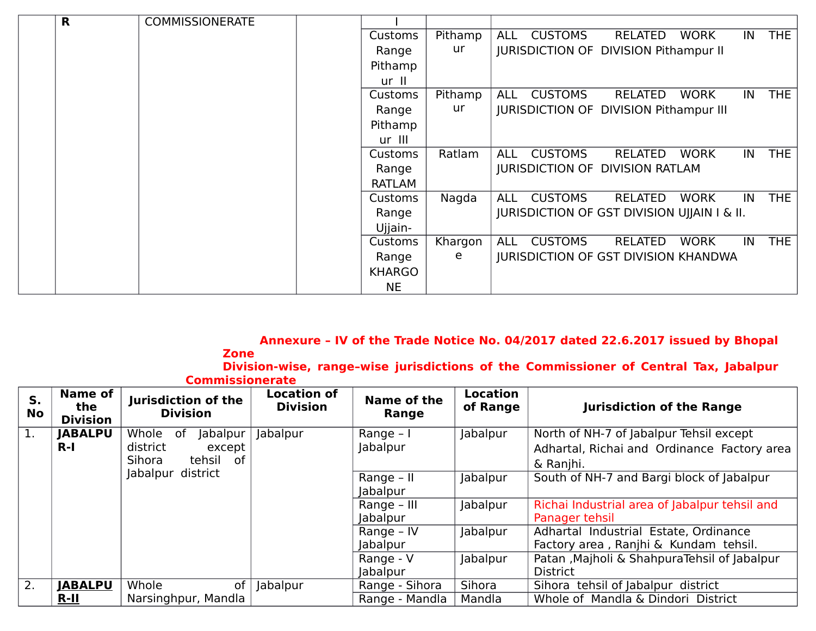| R | <b>COMMISSIONERATE</b> |                |         |                                                                                   |
|---|------------------------|----------------|---------|-----------------------------------------------------------------------------------|
|   |                        | Customs        | Pithamp | <b>THE</b><br><b>CUSTOMS</b><br><b>WORK</b><br><b>RELATED</b><br>IN<br><b>ALL</b> |
|   |                        | Range          | ur      | <b>JURISDICTION OF DIVISION Pithampur II</b>                                      |
|   |                        | Pithamp        |         |                                                                                   |
|   |                        | ur II          |         |                                                                                   |
|   |                        | Customs        | Pithamp | <b>THE</b><br><b>CUSTOMS</b><br><b>WORK</b><br><b>RELATED</b><br>IN<br><b>ALL</b> |
|   |                        | Range          | ur      | <b>JURISDICTION OF DIVISION Pithampur III</b>                                     |
|   |                        | Pithamp        |         |                                                                                   |
|   |                        | ur III         |         |                                                                                   |
|   |                        | Customs        | Ratlam  | <b>THE</b><br><b>CUSTOMS</b><br><b>WORK</b><br><b>RELATED</b><br>IN<br><b>ALL</b> |
|   |                        | Range          |         | <b>JURISDICTION OF DIVISION RATLAM</b>                                            |
|   |                        | <b>RATLAM</b>  |         |                                                                                   |
|   |                        | <b>Customs</b> | Nagda   | <b>THE</b><br><b>CUSTOMS</b><br><b>WORK</b><br><b>RELATED</b><br>IN<br><b>ALL</b> |
|   |                        | Range          |         | JURISDICTION OF GST DIVISION UJJAIN I & II.                                       |
|   |                        | Ujjain-        |         |                                                                                   |
|   |                        | Customs        | Khargon | <b>THE</b><br><b>CUSTOMS</b><br><b>WORK</b><br><b>RELATED</b><br>IN<br><b>ALL</b> |
|   |                        | Range          | e       | <b>JURISDICTION OF GST DIVISION KHANDWA</b>                                       |
|   |                        | <b>KHARGO</b>  |         |                                                                                   |
|   |                        | <b>NE</b>      |         |                                                                                   |

# **Annexure – IV of the Trade Notice No. 04/2017 dated 22.6.2017 issued by Bhopal**

**Zone Division-wise, range–wise jurisdictions of the Commissioner of Central Tax, Jabalpur Commissionerate**

| S.<br>No         | Name of<br>the<br><b>Division</b> | Jurisdiction of the<br><b>Division</b>                               | <b>Location of</b><br><b>Division</b> | Name of the<br><b>Range</b>   | <b>Location</b><br>of Range | <b>Jurisdiction of the Range</b>                                                                    |
|------------------|-----------------------------------|----------------------------------------------------------------------|---------------------------------------|-------------------------------|-----------------------------|-----------------------------------------------------------------------------------------------------|
| $\overline{1}$ . | <b>JABALPU</b><br>$R-I$           | Whole<br>Jabalpur<br>0f<br>district<br>except<br>tehsil of<br>Sihora | Jabalpur                              | Range - I<br>Jabalpur         | Jabalpur                    | North of NH-7 of Jabalpur Tehsil except<br>Adhartal, Richai and Ordinance Factory area<br>& Ranjhi. |
|                  |                                   | Jabalpur district                                                    |                                       | Range - II<br><b>Jabalpur</b> | Jabalpur                    | South of NH-7 and Bargi block of Jabalpur                                                           |
|                  |                                   |                                                                      |                                       | Range - III<br>Jabalpur       | Jabalpur                    | Richai Industrial area of Jabalpur tehsil and<br>Panager tehsil                                     |
|                  |                                   |                                                                      |                                       | Range - IV<br><b>Jabalpur</b> | Jabalpur                    | Adhartal Industrial Estate, Ordinance<br>Factory area, Ranjhi & Kundam tehsil.                      |
|                  |                                   |                                                                      |                                       | Range - V<br><b>Jabalpur</b>  | Jabalpur                    | Patan , Majholi & Shahpura Tehsil of Jabalpur<br><b>District</b>                                    |
| 2.               | <b>JABALPU</b>                    | Whole<br><b>of</b>                                                   | Jabalpur                              | Range - Sihora                | Sihora                      | Sihora tehsil of Jabalpur district                                                                  |
|                  | $R-II$                            | Narsinghpur, Mandla                                                  |                                       | Range - Mandla                | Mandla                      | Whole of Mandla & Dindori District                                                                  |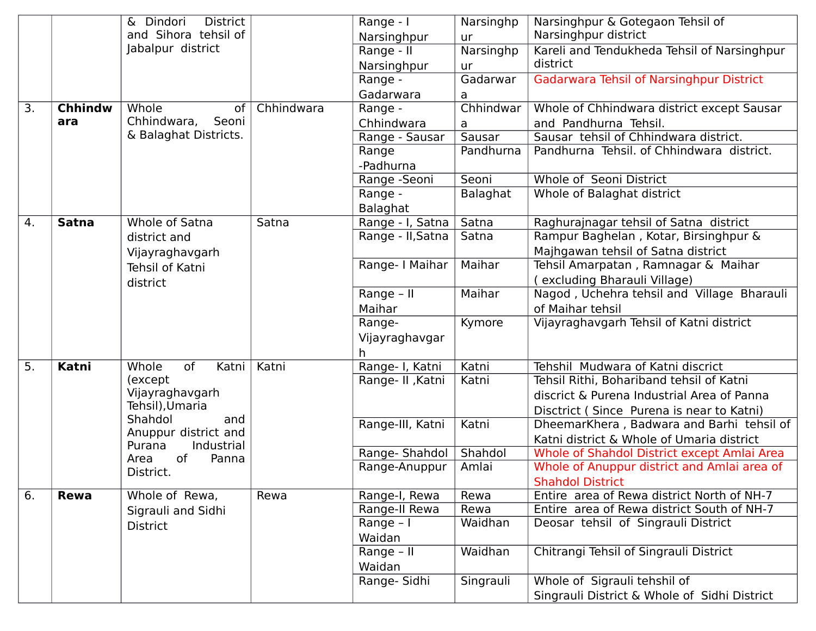|    |                | <b>District</b><br>& Dindori                 |            | Range - I         | Narsinghp | Narsinghpur & Gotegaon Tehsil of                |
|----|----------------|----------------------------------------------|------------|-------------------|-----------|-------------------------------------------------|
|    |                | and Sihora tehsil of                         |            | Narsinghpur       | ur        | Narsinghpur district                            |
|    |                | Jabalpur district                            |            | Range - II        | Narsinghp | Kareli and Tendukheda Tehsil of Narsinghpur     |
|    |                |                                              |            | Narsinghpur       | ur        | district                                        |
|    |                |                                              |            | Range -           | Gadarwar  | <b>Gadarwara Tehsil of Narsinghpur District</b> |
|    |                |                                              |            | Gadarwara         | a         |                                                 |
| 3. | <b>Chhindw</b> | Whole<br><b>of</b>                           | Chhindwara | Range -           | Chhindwar | Whole of Chhindwara district except Sausar      |
|    | ara            | Chhindwara,<br>Seoni                         |            | Chhindwara        | a         | and Pandhurna Tehsil.                           |
|    |                | & Balaghat Districts.                        |            | Range - Sausar    | Sausar    | Sausar tehsil of Chhindwara district.           |
|    |                |                                              |            | Range             | Pandhurna | Pandhurna Tehsil. of Chhindwara district.       |
|    |                |                                              |            | -Padhurna         |           |                                                 |
|    |                |                                              |            | Range -Seoni      | Seoni     | Whole of Seoni District                         |
|    |                |                                              |            | Range -           | Balaghat  | Whole of Balaghat district                      |
|    |                |                                              |            | Balaghat          |           |                                                 |
| 4. | <b>Satna</b>   | Whole of Satna                               | Satna      | Range - I, Satna  | Satna     | Raghurajnagar tehsil of Satna district          |
|    |                | district and                                 |            | Range - II, Satna | Satna     | Rampur Baghelan, Kotar, Birsinghpur &           |
|    |                | Vijayraghavgarh                              |            |                   |           | Majhgawan tehsil of Satna district              |
|    |                | <b>Tehsil of Katni</b>                       |            | Range-   Maihar   | Maihar    | Tehsil Amarpatan, Ramnagar & Maihar             |
|    |                | district                                     |            |                   |           | (excluding Bharauli Village)                    |
|    |                |                                              |            | Range - II        | Maihar    | Nagod, Uchehra tehsil and Village Bharauli      |
|    |                |                                              |            | Maihar            |           | of Maihar tehsil                                |
|    |                |                                              |            | Range-            | Kymore    | Vijayraghavgarh Tehsil of Katni district        |
|    |                |                                              |            | Vijayraghavgar    |           |                                                 |
|    |                |                                              |            | h.                |           |                                                 |
| 5. | Katni          | Whole<br>of<br>Katni                         | Katni      | Range- I, Katni   | Katni     | Tehshil Mudwara of Katni discrict               |
|    |                | (except)                                     |            | Range- II, Katni  | Katni     | Tehsil Rithi, Bohariband tehsil of Katni        |
|    |                | Vijayraghavgarh                              |            |                   |           | discrict & Purena Industrial Area of Panna      |
|    |                | Tehsil), Umaria                              |            |                   |           | Disctrict (Since Purena is near to Katni)       |
|    |                | Shahdol<br>and                               |            | Range-III, Katni  | Katni     | DheemarKhera, Badwara and Barhi tehsil of       |
|    |                | Anuppur district and<br>Industrial<br>Purana |            |                   |           | Katni district & Whole of Umaria district       |
|    |                | of<br>Panna<br>Area                          |            | Range-Shahdol     | Shahdol   | Whole of Shahdol District except Amlai Area     |
|    |                | District.                                    |            | Range-Anuppur     | Amlai     | Whole of Anuppur district and Amlai area of     |
|    |                |                                              |            |                   |           | <b>Shahdol District</b>                         |
| 6. | <b>Rewa</b>    | Whole of Rewa,                               | Rewa       | Range-I, Rewa     | Rewa      | Entire area of Rewa district North of NH-7      |
|    |                | Sigrauli and Sidhi                           |            | Range-II Rewa     | Rewa      | Entire area of Rewa district South of NH-7      |
|    |                | <b>District</b>                              |            | Range - I         | Waidhan   | Deosar tehsil of Singrauli District             |
|    |                |                                              |            | Waidan            |           |                                                 |
|    |                |                                              |            | Range - II        | Waidhan   | Chitrangi Tehsil of Singrauli District          |
|    |                |                                              |            | Waidan            |           |                                                 |
|    |                |                                              |            | Range- Sidhi      | Singrauli | Whole of Sigrauli tehshil of                    |
|    |                |                                              |            |                   |           | Singrauli District & Whole of Sidhi District    |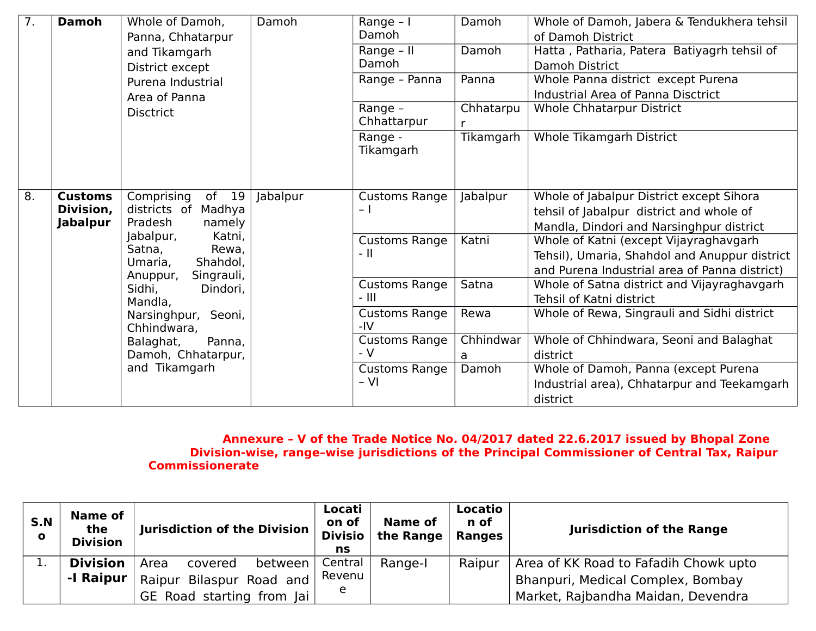| $\overline{7}$ . | <b>Damoh</b>                                   | Whole of Damoh,<br>Panna, Chhatarpur                                                                                                                                                                        | Damoh    | Range $-1$<br>Damoh            | Damoh          | Whole of Damoh, Jabera & Tendukhera tehsil<br>of Damoh District                                                                          |
|------------------|------------------------------------------------|-------------------------------------------------------------------------------------------------------------------------------------------------------------------------------------------------------------|----------|--------------------------------|----------------|------------------------------------------------------------------------------------------------------------------------------------------|
|                  |                                                | and Tikamgarh                                                                                                                                                                                               |          | Range - II                     | Damoh          | Hatta, Patharia, Patera Batiyagrh tehsil of                                                                                              |
|                  |                                                | District except                                                                                                                                                                                             |          | Damoh<br>Range - Panna         | Panna          | Damoh District<br>Whole Panna district except Purena                                                                                     |
|                  |                                                | Purena Industrial<br>Area of Panna                                                                                                                                                                          |          |                                |                | Industrial Area of Panna Disctrict                                                                                                       |
|                  | <b>Disctrict</b>                               |                                                                                                                                                                                                             |          | Range -<br>Chhattarpur         | Chhatarpu      | <b>Whole Chhatarpur District</b>                                                                                                         |
|                  |                                                |                                                                                                                                                                                                             |          | Range -<br>Tikamgarh           | Tikamgarh      | Whole Tikamgarh District                                                                                                                 |
| 8.               | <b>Customs</b><br>Division,<br><b>Jabalpur</b> | Comprising<br>of 19<br>districts of<br>Madhya<br>Pradesh<br>namely                                                                                                                                          | Jabalpur | <b>Customs Range</b><br>$-1$   | Jabalpur       | Whole of Jabalpur District except Sihora<br>tehsil of Jabalpur district and whole of<br>Mandla, Dindori and Narsinghpur district         |
|                  |                                                | Jabalpur,<br>Katni,<br>Satna,<br>Rewa,<br>Shahdol,<br>Umaria,<br>Singrauli,<br>Anuppur,<br>Sidhi,<br>Dindori,<br>Mandla,<br>Narsinghpur, Seoni,<br>Chhindwara,<br>Balaghat,<br>Panna,<br>Damoh, Chhatarpur, |          | <b>Customs Range</b><br>$-$ II | Katni          | Whole of Katni (except Vijayraghavgarh<br>Tehsil), Umaria, Shahdol and Anuppur district<br>and Purena Industrial area of Panna district) |
|                  |                                                |                                                                                                                                                                                                             |          | Customs Range<br>- 111         | Satna          | Whole of Satna district and Vijayraghavgarh<br>Tehsil of Katni district                                                                  |
|                  |                                                |                                                                                                                                                                                                             |          | <b>Customs Range</b><br>$-IV$  | Rewa           | Whole of Rewa, Singrauli and Sidhi district                                                                                              |
|                  |                                                |                                                                                                                                                                                                             |          | <b>Customs Range</b><br>- V    | Chhindwar<br>a | Whole of Chhindwara, Seoni and Balaghat<br>district                                                                                      |
|                  |                                                | and Tikamgarh                                                                                                                                                                                               |          | <b>Customs Range</b><br>$- VI$ | Damoh          | Whole of Damoh, Panna (except Purena<br>Industrial area), Chhatarpur and Teekamgarh<br>district                                          |

#### **Annexure – V of the Trade Notice No. 04/2017 dated 22.6.2017 issued by Bhopal Zone Division-wise, range–wise jurisdictions of the Principal Commissioner of Central Tax, Raipur Commissionerate**

| S.N<br>$\mathbf{o}$ | Name of<br>the<br><b>Division</b> | <b>Jurisdiction of the Division</b> | Locati<br>on of<br><b>Divisio</b><br>ns | Name of<br>the Range $\vert$ Ranges | Locatio<br>n of | <b>Jurisdiction of the Range</b>      |
|---------------------|-----------------------------------|-------------------------------------|-----------------------------------------|-------------------------------------|-----------------|---------------------------------------|
|                     | <b>Division</b>                   | Area<br>between<br>covered          | Central                                 | Range-I                             | Raipur          | Area of KK Road to Fafadih Chowk upto |
|                     | -I Raipur                         | Raipur Bilaspur Road and            | Revenu                                  |                                     |                 | Bhanpuri, Medical Complex, Bombay     |
|                     |                                   | GE Road starting from Jai           |                                         |                                     |                 | Market, Rajbandha Maidan, Devendra    |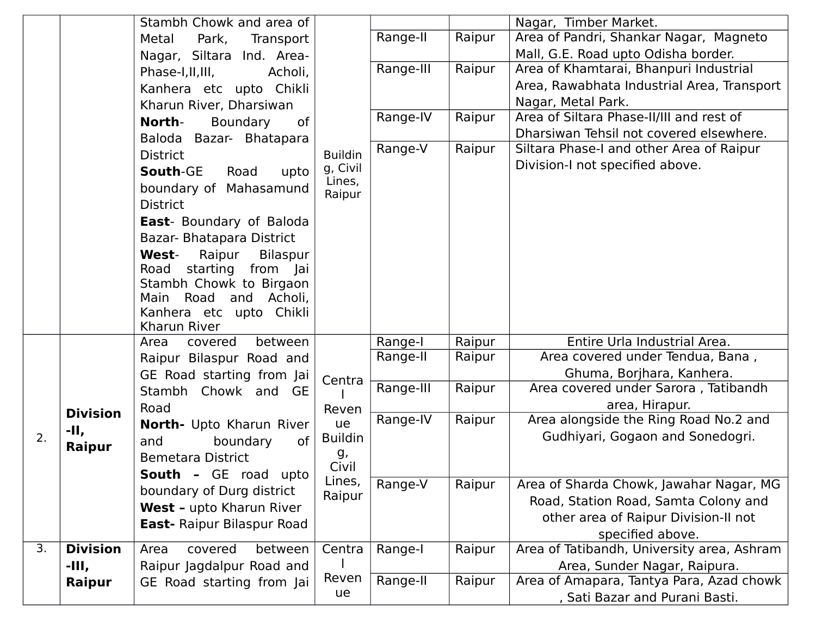|    |                 | Stambh Chowk and area of                |                  |           |        | Nagar, Timber Market.                      |
|----|-----------------|-----------------------------------------|------------------|-----------|--------|--------------------------------------------|
|    |                 | Metal<br>Park,<br>Transport             |                  | Range-II  | Raipur | Area of Pandri, Shankar Nagar, Magneto     |
|    |                 | Nagar, Siltara Ind. Area-               |                  |           |        | Mall, G.E. Road upto Odisha border.        |
|    |                 | Phase-I, II, III,<br>Acholi,            |                  | Range-III | Raipur | Area of Khamtarai, Bhanpuri Industrial     |
|    |                 | Kanhera etc upto Chikli                 |                  |           |        | Area, Rawabhata Industrial Area, Transport |
|    |                 | Kharun River, Dharsiwan                 |                  |           |        | Nagar, Metal Park.                         |
|    |                 | North-<br>Boundary<br>of                |                  | Range-IV  | Raipur | Area of Siltara Phase-II/III and rest of   |
|    |                 | Baloda Bazar- Bhatapara                 |                  |           |        | Dharsiwan Tehsil not covered elsewhere.    |
|    |                 | <b>District</b>                         | <b>Buildin</b>   | Range-V   | Raipur | Siltara Phase-I and other Area of Raipur   |
|    |                 | South-GE<br>Road<br>upto                | g, Civil         |           |        | Division-I not specified above.            |
|    |                 | boundary of Mahasamund                  | Lines,<br>Raipur |           |        |                                            |
|    |                 | <b>District</b>                         |                  |           |        |                                            |
|    |                 | <b>East-</b> Boundary of Baloda         |                  |           |        |                                            |
|    |                 | Bazar- Bhatapara District               |                  |           |        |                                            |
|    |                 | <b>West-</b><br>Raipur<br>Bilaspur      |                  |           |        |                                            |
|    |                 | Road starting from Jai                  |                  |           |        |                                            |
|    |                 | Stambh Chowk to Birgaon                 |                  |           |        |                                            |
|    |                 | Road<br>Acholi,<br>Main<br>and          |                  |           |        |                                            |
|    |                 | Kanhera etc upto Chikli<br>Kharun River |                  |           |        |                                            |
|    |                 | covered<br>between<br>Area              |                  | Range-I   | Raipur | Entire Urla Industrial Area.               |
|    |                 | Raipur Bilaspur Road and                |                  | Range-II  | Raipur | Area covered under Tendua, Bana,           |
|    |                 | GE Road starting from Jai               |                  |           |        | Ghuma, Borjhara, Kanhera.                  |
|    |                 | Stambh Chowk and GE                     | Centra           | Range-III | Raipur | Area covered under Sarora, Tatibandh       |
|    | <b>Division</b> | Road                                    | Reven            |           |        | area, Hirapur.                             |
|    | -II,            | North- Upto Kharun River                | ue               | Range-IV  | Raipur | Area alongside the Ring Road No.2 and      |
| 2. |                 | boundary<br>0f<br>and                   | <b>Buildin</b>   |           |        | Gudhiyari, Gogaon and Sonedogri.           |
|    | Raipur          | <b>Bemetara District</b>                | g,               |           |        |                                            |
|    |                 | <b>South - GE road upto</b>             | Civil            |           |        |                                            |
|    |                 | boundary of Durg district               | Lines,<br>Raipur | Range-V   | Raipur | Area of Sharda Chowk, Jawahar Nagar, MG    |
|    |                 | West - upto Kharun River                |                  |           |        | Road, Station Road, Samta Colony and       |
|    |                 | East- Raipur Bilaspur Road              |                  |           |        | other area of Raipur Division-II not       |
|    |                 |                                         |                  |           |        | specified above.                           |
| 3. | <b>Division</b> | between<br>covered<br>Area              | Centra           | Range-I   | Raipur | Area of Tatibandh, University area, Ashram |
|    | -III,           | Raipur Jagdalpur Road and               |                  |           |        | Area, Sunder Nagar, Raipura.               |
|    | Raipur          | GE Road starting from Jai               | Reven            | Range-II  | Raipur | Area of Amapara, Tantya Para, Azad chowk   |
|    |                 |                                         | ue               |           |        | , Sati Bazar and Purani Basti.             |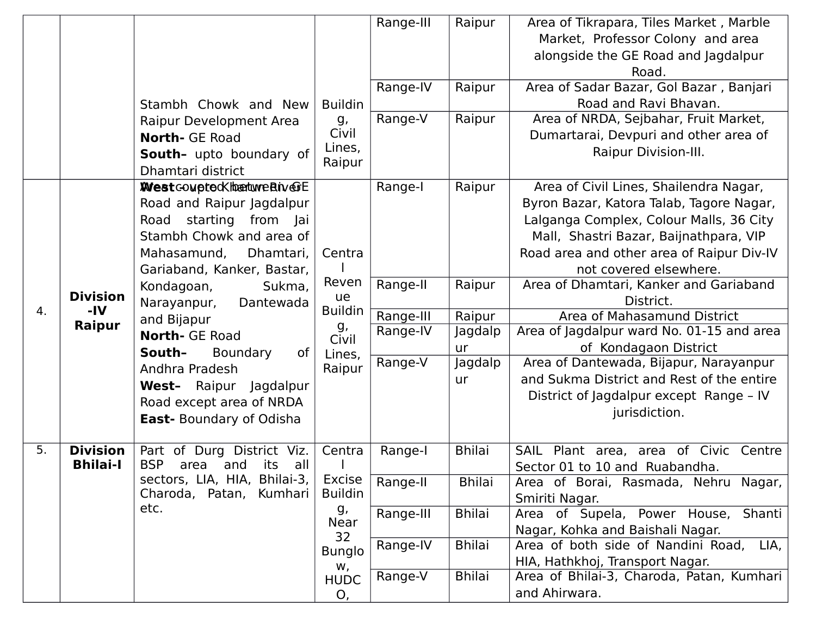| Market, Professor Colony and area<br>alongside the GE Road and Jagdalpur<br>Road.<br>Area of Sadar Bazar, Gol Bazar, Banjari<br>Range-IV<br>Raipur<br>Road and Ravi Bhavan.<br><b>Buildin</b><br>Stambh Chowk and New<br>Raipur<br>Area of NRDA, Sejbahar, Fruit Market,<br>Range-V<br>g,<br>Raipur Development Area<br>Civil<br>Dumartarai, Devpuri and other area of<br><b>North- GE Road</b><br>Lines,<br>Raipur Division-III.<br>South- upto boundary of<br>Raipur<br>Dhamtari district<br><b>West</b> coupted K the turned in our<br>Range-I<br>Raipur<br>Area of Civil Lines, Shailendra Nagar,<br>Road and Raipur Jagdalpur<br>Byron Bazar, Katora Talab, Tagore Nagar, |
|--------------------------------------------------------------------------------------------------------------------------------------------------------------------------------------------------------------------------------------------------------------------------------------------------------------------------------------------------------------------------------------------------------------------------------------------------------------------------------------------------------------------------------------------------------------------------------------------------------------------------------------------------------------------------------|
|                                                                                                                                                                                                                                                                                                                                                                                                                                                                                                                                                                                                                                                                                |
|                                                                                                                                                                                                                                                                                                                                                                                                                                                                                                                                                                                                                                                                                |
|                                                                                                                                                                                                                                                                                                                                                                                                                                                                                                                                                                                                                                                                                |
|                                                                                                                                                                                                                                                                                                                                                                                                                                                                                                                                                                                                                                                                                |
|                                                                                                                                                                                                                                                                                                                                                                                                                                                                                                                                                                                                                                                                                |
|                                                                                                                                                                                                                                                                                                                                                                                                                                                                                                                                                                                                                                                                                |
|                                                                                                                                                                                                                                                                                                                                                                                                                                                                                                                                                                                                                                                                                |
|                                                                                                                                                                                                                                                                                                                                                                                                                                                                                                                                                                                                                                                                                |
|                                                                                                                                                                                                                                                                                                                                                                                                                                                                                                                                                                                                                                                                                |
|                                                                                                                                                                                                                                                                                                                                                                                                                                                                                                                                                                                                                                                                                |
|                                                                                                                                                                                                                                                                                                                                                                                                                                                                                                                                                                                                                                                                                |
| Lalganga Complex, Colour Malls, 36 City<br>Road starting from Jai                                                                                                                                                                                                                                                                                                                                                                                                                                                                                                                                                                                                              |
| Stambh Chowk and area of<br>Mall, Shastri Bazar, Baijnathpara, VIP                                                                                                                                                                                                                                                                                                                                                                                                                                                                                                                                                                                                             |
| Road area and other area of Raipur Div-IV<br>Mahasamund,<br>Dhamtari,<br>Centra                                                                                                                                                                                                                                                                                                                                                                                                                                                                                                                                                                                                |
| not covered elsewhere.<br>Gariaband, Kanker, Bastar,                                                                                                                                                                                                                                                                                                                                                                                                                                                                                                                                                                                                                           |
| Reven<br>Range-II<br>Raipur<br>Area of Dhamtari, Kanker and Gariaband<br>Kondagoan,<br>Sukma,                                                                                                                                                                                                                                                                                                                                                                                                                                                                                                                                                                                  |
| <b>Division</b><br>ue<br>District.<br>Narayanpur,<br>Dantewada<br>-IV<br><b>Buildin</b><br>4.                                                                                                                                                                                                                                                                                                                                                                                                                                                                                                                                                                                  |
| Area of Mahasamund District<br>Range-III<br>Raipur<br>and Bijapur<br>Raipur<br>g,                                                                                                                                                                                                                                                                                                                                                                                                                                                                                                                                                                                              |
| Range-IV<br>Jagdalp<br>Area of Jagdalpur ward No. 01-15 and area<br><b>North- GE Road</b><br>Civil                                                                                                                                                                                                                                                                                                                                                                                                                                                                                                                                                                             |
| of Kondagaon District<br>ur<br>South-<br>Boundary<br>0f<br>Lines,                                                                                                                                                                                                                                                                                                                                                                                                                                                                                                                                                                                                              |
| Range-V<br>Area of Dantewada, Bijapur, Narayanpur<br>Jagdalp<br>Andhra Pradesh<br>Raipur                                                                                                                                                                                                                                                                                                                                                                                                                                                                                                                                                                                       |
| and Sukma District and Rest of the entire<br>ur<br>West- Raipur Jagdalpur                                                                                                                                                                                                                                                                                                                                                                                                                                                                                                                                                                                                      |
| District of Jagdalpur except Range - IV<br>Road except area of NRDA                                                                                                                                                                                                                                                                                                                                                                                                                                                                                                                                                                                                            |
| jurisdiction.<br><b>East-</b> Boundary of Odisha                                                                                                                                                                                                                                                                                                                                                                                                                                                                                                                                                                                                                               |
|                                                                                                                                                                                                                                                                                                                                                                                                                                                                                                                                                                                                                                                                                |
| <b>Division</b><br><b>Bhilai</b><br>5.<br>of Durg District Viz.<br>Plant area, area of Civic<br>Centra<br>Range-I<br>SAIL<br>Centre<br>Part                                                                                                                                                                                                                                                                                                                                                                                                                                                                                                                                    |
| <b>Bhilai-I</b><br><b>BSP</b><br>its<br>area<br>and<br>all<br>Sector 01 to 10 and Ruabandha.                                                                                                                                                                                                                                                                                                                                                                                                                                                                                                                                                                                   |
| sectors, LIA, HIA, Bhilai-3,<br>Excise<br>Range-II<br><b>Bhilai</b><br>Area of Borai, Rasmada, Nehru Nagar,<br><b>Buildin</b><br>Charoda, Patan, Kumhari                                                                                                                                                                                                                                                                                                                                                                                                                                                                                                                       |
| Smiriti Nagar.<br>etc.<br>g,                                                                                                                                                                                                                                                                                                                                                                                                                                                                                                                                                                                                                                                   |
| <b>Bhilai</b><br>Range-III<br>Area of Supela, Power House, Shanti<br>Near                                                                                                                                                                                                                                                                                                                                                                                                                                                                                                                                                                                                      |
| Nagar, Kohka and Baishali Nagar.<br>32<br><b>Bhilai</b><br>Area of both side of Nandini Road,<br>Range-IV<br>LIA,                                                                                                                                                                                                                                                                                                                                                                                                                                                                                                                                                              |
| <b>Bunglo</b><br>HIA, Hathkhoj, Transport Nagar.                                                                                                                                                                                                                                                                                                                                                                                                                                                                                                                                                                                                                               |
| W,<br><b>Bhilai</b><br>Range-V<br>Area of Bhilai-3, Charoda, Patan, Kumhari                                                                                                                                                                                                                                                                                                                                                                                                                                                                                                                                                                                                    |
| <b>HUDC</b><br>and Ahirwara.<br>O,                                                                                                                                                                                                                                                                                                                                                                                                                                                                                                                                                                                                                                             |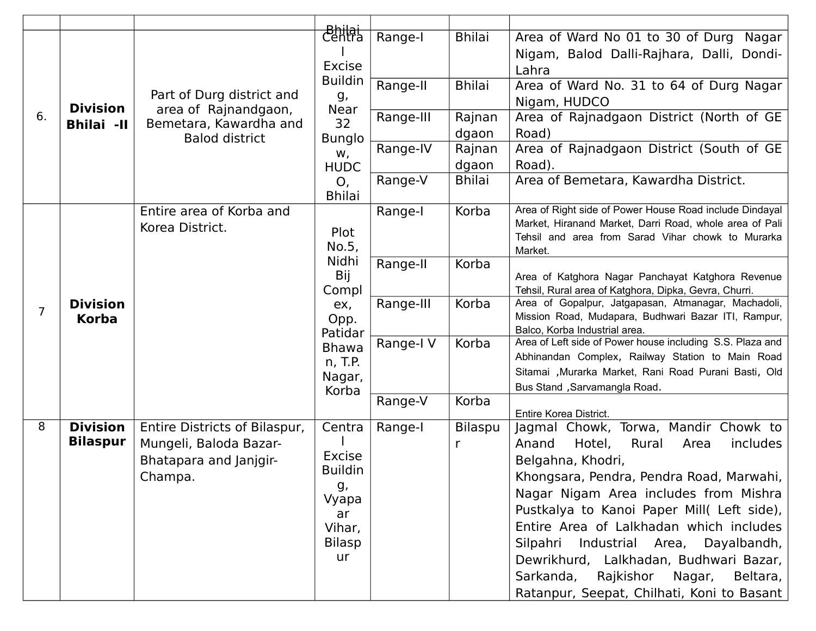|                |                                 |                                                   | Bhilai<br>Centra<br><b>Excise</b> | Range-I   | <b>Bhilai</b> | Area of Ward No 01 to 30 of Durg Nagar<br>Nigam, Balod Dalli-Rajhara, Dalli, Dondi-<br>Lahra                 |
|----------------|---------------------------------|---------------------------------------------------|-----------------------------------|-----------|---------------|--------------------------------------------------------------------------------------------------------------|
|                | <b>Division</b>                 | Part of Durg district and<br>area of Rajnandgaon, | <b>Buildin</b><br>g,<br>Near      | Range-II  | <b>Bhilai</b> | Area of Ward No. 31 to 64 of Durg Nagar<br>Nigam, HUDCO                                                      |
| 6.             | <b>Bhilai -II</b>               | Bemetara, Kawardha and                            | 32                                | Range-III | Rajnan        | Area of Rajnadgaon District (North of GE                                                                     |
|                |                                 | <b>Balod district</b>                             | <b>Bunglo</b>                     |           | dgaon         | Road)                                                                                                        |
|                |                                 |                                                   | W,                                | Range-IV  | Rajnan        | Area of Rajnadgaon District (South of GE                                                                     |
|                |                                 |                                                   | <b>HUDC</b>                       |           | dgaon         | Road).                                                                                                       |
|                |                                 |                                                   | O,<br><b>Bhilai</b>               | Range-V   | <b>Bhilai</b> | Area of Bemetara, Kawardha District.                                                                         |
|                |                                 | Entire area of Korba and                          |                                   | Range-I   | Korba         | Area of Right side of Power House Road include Dindayal                                                      |
|                |                                 | Korea District.                                   | Plot                              |           |               | Market, Hiranand Market, Darri Road, whole area of Pali<br>Tehsil and area from Sarad Vihar chowk to Murarka |
|                | <b>Division</b><br><b>Korba</b> |                                                   | No.5,                             |           |               | Market.                                                                                                      |
|                |                                 |                                                   | Nidhi                             | Range-II  | Korba         |                                                                                                              |
|                |                                 |                                                   | Bij                               |           |               | Area of Katghora Nagar Panchayat Katghora Revenue                                                            |
|                |                                 |                                                   | Compl                             | Range-III | Korba         | Tehsil, Rural area of Katghora, Dipka, Gevra, Churri.<br>Area of Gopalpur, Jatgapasan, Atmanagar, Machadoli, |
| $\overline{7}$ |                                 |                                                   | ex,<br>Opp.                       |           |               | Mission Road, Mudapara, Budhwari Bazar ITI, Rampur,                                                          |
|                |                                 |                                                   | Patidar                           |           |               | Balco, Korba Industrial area.                                                                                |
|                |                                 |                                                   | <b>Bhawa</b>                      | Range-I V | Korba         | Area of Left side of Power house including S.S. Plaza and                                                    |
|                |                                 |                                                   | n, T.P.                           |           |               | Abhinandan Complex, Railway Station to Main Road                                                             |
|                |                                 |                                                   | Nagar,                            |           |               | Sitamai , Murarka Market, Rani Road Purani Basti, Old<br>Bus Stand, Sarvamangla Road.                        |
|                |                                 |                                                   | Korba                             | Range-V   | Korba         |                                                                                                              |
|                |                                 |                                                   |                                   |           |               | Entire Korea District.                                                                                       |
| 8              | <b>Division</b>                 | Entire Districts of Bilaspur,                     | Centra                            | Range-I   | Bilaspu       | Jagmal Chowk, Torwa, Mandir Chowk to                                                                         |
|                | <b>Bilaspur</b>                 | Mungeli, Baloda Bazar-                            |                                   |           | r             | Hotel,<br>Rural<br>includes<br>Anand<br>Area                                                                 |
|                |                                 | Bhatapara and Janjgir-                            | <b>Excise</b><br><b>Buildin</b>   |           |               | Belgahna, Khodri,                                                                                            |
|                |                                 | Champa.                                           | g,                                |           |               | Khongsara, Pendra, Pendra Road, Marwahi,                                                                     |
|                |                                 |                                                   | Vyapa                             |           |               | Nagar Nigam Area includes from Mishra                                                                        |
|                |                                 |                                                   | ar                                |           |               | Pustkalya to Kanoi Paper Mill( Left side),                                                                   |
|                |                                 |                                                   | Vihar,                            |           |               | Entire Area of Lalkhadan which includes                                                                      |
|                |                                 |                                                   | <b>Bilasp</b>                     |           |               | Silpahri Industrial Area, Dayalbandh,                                                                        |
|                |                                 |                                                   | ur                                |           |               | Dewrikhurd, Lalkhadan, Budhwari Bazar,                                                                       |
|                |                                 |                                                   |                                   |           |               | Sarkanda, Rajkishor Nagar,<br>Beltara,                                                                       |
|                |                                 |                                                   |                                   |           |               | Ratanpur, Seepat, Chilhati, Koni to Basant                                                                   |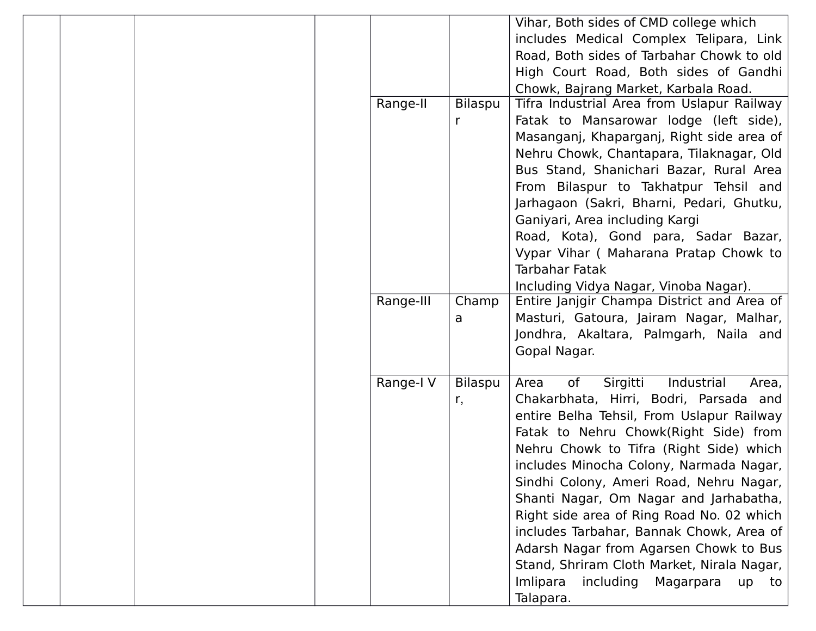|           |         | Vihar, Both sides of CMD college which        |
|-----------|---------|-----------------------------------------------|
|           |         | includes Medical Complex Telipara, Link       |
|           |         | Road, Both sides of Tarbahar Chowk to old     |
|           |         | High Court Road, Both sides of Gandhi         |
|           |         | Chowk, Bajrang Market, Karbala Road.          |
| Range-II  | Bilaspu | Tifra Industrial Area from Uslapur Railway    |
|           | r       | Fatak to Mansarowar lodge (left side),        |
|           |         | Masanganj, Khaparganj, Right side area of     |
|           |         | Nehru Chowk, Chantapara, Tilaknagar, Old      |
|           |         | Bus Stand, Shanichari Bazar, Rural Area       |
|           |         | From Bilaspur to Takhatpur Tehsil and         |
|           |         | Jarhagaon (Sakri, Bharni, Pedari, Ghutku,     |
|           |         | Ganiyari, Area including Kargi                |
|           |         | Road, Kota), Gond para, Sadar Bazar,          |
|           |         | Vypar Vihar (Maharana Pratap Chowk to         |
|           |         | <b>Tarbahar Fatak</b>                         |
|           |         | Including Vidya Nagar, Vinoba Nagar).         |
| Range-III | Champ   | Entire Janjgir Champa District and Area of    |
|           | a       | Masturi, Gatoura, Jairam Nagar, Malhar,       |
|           |         | Jondhra, Akaltara, Palmgarh, Naila and        |
|           |         | Gopal Nagar.                                  |
|           |         |                                               |
| Range-I V | Bilaspu | Sirgitti<br>of<br>Industrial<br>Area<br>Area, |
|           | r,      | Chakarbhata, Hirri, Bodri, Parsada and        |
|           |         | entire Belha Tehsil, From Uslapur Railway     |
|           |         | Fatak to Nehru Chowk(Right Side) from         |
|           |         | Nehru Chowk to Tifra (Right Side) which       |
|           |         | includes Minocha Colony, Narmada Nagar,       |
|           |         | Sindhi Colony, Ameri Road, Nehru Nagar,       |
|           |         | Shanti Nagar, Om Nagar and Jarhabatha,        |
|           |         | Right side area of Ring Road No. 02 which     |
|           |         | includes Tarbahar, Bannak Chowk, Area of      |
|           |         | Adarsh Nagar from Agarsen Chowk to Bus        |
|           |         | Stand, Shriram Cloth Market, Nirala Nagar,    |
|           |         | Imlipara<br>including Magarpara<br>up<br>to   |
|           |         | Talapara.                                     |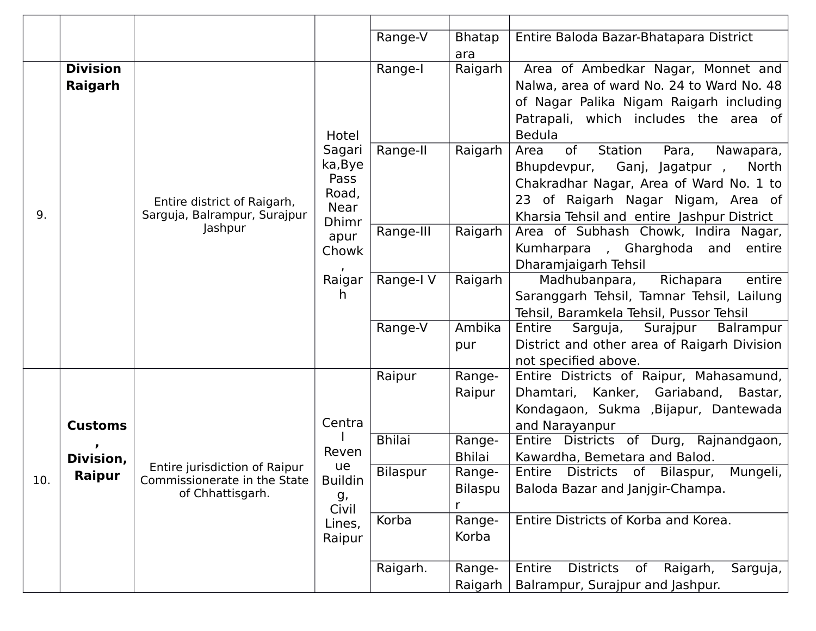|     |                             |                                         |                | Range-V         | <b>Bhatap</b>                               | Entire Baloda Bazar-Bhatapara District                              |
|-----|-----------------------------|-----------------------------------------|----------------|-----------------|---------------------------------------------|---------------------------------------------------------------------|
|     |                             |                                         |                |                 | ara                                         |                                                                     |
|     | <b>Division</b>             |                                         |                | Range-I         | Raigarh                                     | Area of Ambedkar Nagar, Monnet and                                  |
|     | Raigarh                     |                                         |                |                 |                                             | Nalwa, area of ward No. 24 to Ward No. 48                           |
|     |                             |                                         |                |                 |                                             | of Nagar Palika Nigam Raigarh including                             |
|     |                             |                                         |                |                 |                                             | Patrapali, which includes the area of                               |
|     |                             |                                         | Hotel          |                 |                                             | <b>Bedula</b>                                                       |
|     |                             |                                         | Sagari         | Range-II        | Raigarh                                     | of<br>Station<br>Area<br>Para,<br>Nawapara,                         |
|     |                             |                                         | ka, Bye        |                 |                                             | Bhupdevpur,<br>Ganj, Jagatpur,<br>North                             |
|     |                             |                                         | Pass<br>Road,  |                 |                                             | Chakradhar Nagar, Area of Ward No. 1 to                             |
|     | Entire district of Raigarh, | Near                                    |                |                 | 23 of Raigarh Nagar Nigam, Area of          |                                                                     |
| 9.  |                             | Sarguja, Balrampur, Surajpur<br>Jashpur | <b>Dhimr</b>   |                 |                                             | Kharsia Tehsil and entire Jashpur District                          |
|     |                             |                                         | apur           | Range-III       | Raigarh                                     | Area of Subhash Chowk, Indira Nagar,                                |
|     |                             | Chowk                                   |                |                 | Kumharpara , Gharghoda and<br>entire        |                                                                     |
|     |                             |                                         |                |                 | Dharamjaigarh Tehsil                        |                                                                     |
|     |                             |                                         | Raigar<br>h.   | Range-I V       | Raigarh                                     | Madhubanpara,<br>Richapara<br>entire                                |
|     |                             |                                         |                |                 |                                             | Saranggarh Tehsil, Tamnar Tehsil, Lailung                           |
|     |                             |                                         |                |                 | Ambika                                      | Tehsil, Baramkela Tehsil, Pussor Tehsil                             |
|     |                             |                                         | Range-V        |                 | Surajpur<br>Balrampur<br>Entire<br>Sarguja, |                                                                     |
|     |                             |                                         |                |                 | pur                                         | District and other area of Raigarh Division<br>not specified above. |
|     |                             |                                         |                | Raipur          | Range-                                      | Entire Districts of Raipur, Mahasamund,                             |
|     |                             |                                         |                |                 | Raipur                                      | Dhamtari, Kanker, Gariaband, Bastar,                                |
|     |                             |                                         |                |                 |                                             | Kondagaon, Sukma , Bijapur, Dantewada                               |
|     | <b>Customs</b>              |                                         | Centra         |                 |                                             | and Narayanpur                                                      |
|     |                             |                                         |                | <b>Bhilai</b>   | Range-                                      | Entire Districts of Durg, Rajnandgaon,                              |
|     | Division,                   |                                         | Reven          |                 | <b>Bhilai</b>                               | Kawardha, Bemetara and Balod.                                       |
|     | Raipur                      | Entire jurisdiction of Raipur           | ue             | <b>Bilaspur</b> | Range-                                      | Entire Districts of Bilaspur,<br>Mungeli,                           |
| 10. |                             | Commissionerate in the State            | <b>Buildin</b> |                 | Bilaspu                                     | Baloda Bazar and Janjgir-Champa.                                    |
|     |                             | of Chhattisgarh.                        | g,<br>Civil    |                 | r                                           |                                                                     |
|     |                             |                                         | Lines,         | Korba           | Range-                                      | Entire Districts of Korba and Korea.                                |
|     |                             |                                         | Raipur         |                 | Korba                                       |                                                                     |
|     |                             |                                         |                |                 |                                             |                                                                     |
|     |                             |                                         |                | Raigarh.        | Range-                                      | Entire<br><b>Districts</b><br>Raigarh,<br>Sarguja,<br>of            |
|     |                             |                                         |                |                 | Raigarh                                     | Balrampur, Surajpur and Jashpur.                                    |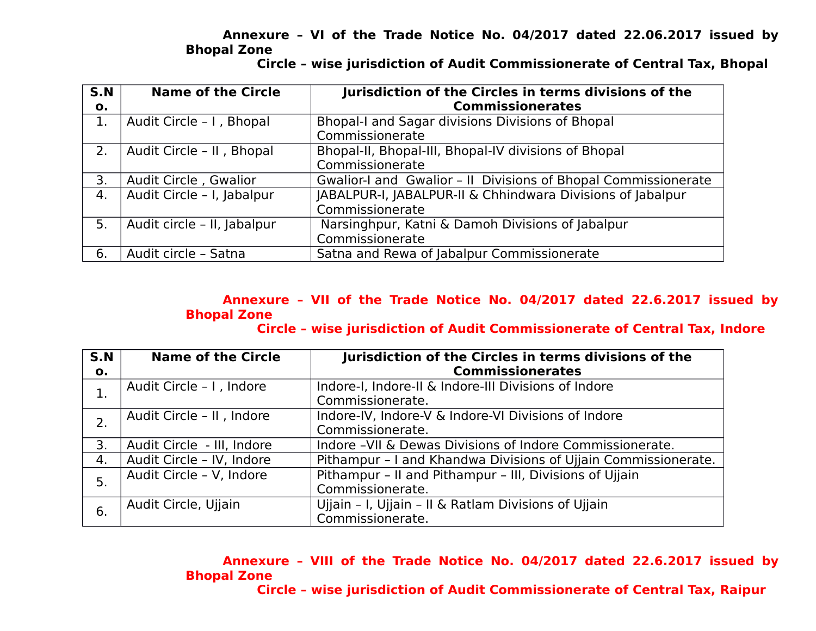### **Annexure – VI of the Trade Notice No. 04/2017 dated 22.06.2017 issued by Bhopal Zone**

 **Circle – wise jurisdiction of Audit Commissionerate of Central Tax, Bhopal**

| S.N | <b>Name of the Circle</b>   | Jurisdiction of the Circles in terms divisions of the          |
|-----|-----------------------------|----------------------------------------------------------------|
| о.  |                             | <b>Commissionerates</b>                                        |
|     | Audit Circle - I, Bhopal    | Bhopal-I and Sagar divisions Divisions of Bhopal               |
|     |                             | Commissionerate                                                |
| 2.  | Audit Circle - II, Bhopal   | Bhopal-II, Bhopal-III, Bhopal-IV divisions of Bhopal           |
|     |                             | Commissionerate                                                |
| 3.  | Audit Circle, Gwalior       | Gwalior-I and Gwalior - II Divisions of Bhopal Commissionerate |
| 4.  | Audit Circle - I, Jabalpur  | JABALPUR-I, JABALPUR-II & Chhindwara Divisions of Jabalpur     |
|     |                             | Commissionerate                                                |
| 5.  | Audit circle - II, Jabalpur | Narsinghpur, Katni & Damoh Divisions of Jabalpur               |
|     |                             | Commissionerate                                                |
| 6.  | Audit circle - Satna        | Satna and Rewa of Jabalpur Commissionerate                     |

# **Annexure – VII of the Trade Notice No. 04/2017 dated 22.6.2017 issued by Bhopal Zone**

 **Circle – wise jurisdiction of Audit Commissionerate of Central Tax, Indore**

| S.N | <b>Name of the Circle</b>  | Jurisdiction of the Circles in terms divisions of the          |
|-----|----------------------------|----------------------------------------------------------------|
| О.  |                            | <b>Commissionerates</b>                                        |
| 1.  | Audit Circle - I, Indore   | Indore-I, Indore-II & Indore-III Divisions of Indore           |
|     |                            | Commissionerate.                                               |
| 2.  | Audit Circle - II, Indore  | Indore-IV, Indore-V & Indore-VI Divisions of Indore            |
|     |                            | Commissionerate.                                               |
| 3.  | Audit Circle - III, Indore | Indore - VII & Dewas Divisions of Indore Commissionerate.      |
| 4.  | Audit Circle - IV, Indore  | Pithampur - I and Khandwa Divisions of Ujjain Commissionerate. |
| 5.  | Audit Circle - V, Indore   | Pithampur - II and Pithampur - III, Divisions of Ujjain        |
|     |                            | Commissionerate.                                               |
| 6.  | Audit Circle, Ujjain       | Ujjain - I, Ujjain - II & Ratlam Divisions of Ujjain           |
|     |                            | Commissionerate.                                               |

**Annexure – VIII of the Trade Notice No. 04/2017 dated 22.6.2017 issued by Bhopal Zone Circle – wise jurisdiction of Audit Commissionerate of Central Tax, Raipur**